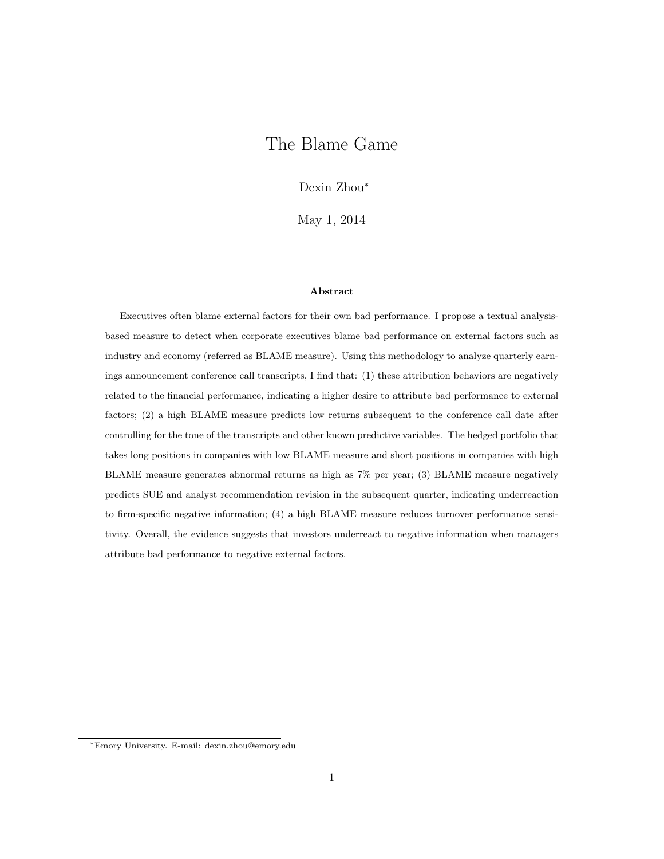# <span id="page-0-0"></span>The Blame Game

Dexin Zhou<sup>∗</sup>

May 1, 2014

#### Abstract

Executives often blame external factors for their own bad performance. I propose a textual analysisbased measure to detect when corporate executives blame bad performance on external factors such as industry and economy (referred as BLAME measure). Using this methodology to analyze quarterly earnings announcement conference call transcripts, I find that: (1) these attribution behaviors are negatively related to the financial performance, indicating a higher desire to attribute bad performance to external factors; (2) a high BLAME measure predicts low returns subsequent to the conference call date after controlling for the tone of the transcripts and other known predictive variables. The hedged portfolio that takes long positions in companies with low BLAME measure and short positions in companies with high BLAME measure generates abnormal returns as high as 7% per year; (3) BLAME measure negatively predicts SUE and analyst recommendation revision in the subsequent quarter, indicating underreaction to firm-specific negative information; (4) a high BLAME measure reduces turnover performance sensitivity. Overall, the evidence suggests that investors underreact to negative information when managers attribute bad performance to negative external factors.

<sup>∗</sup>Emory University. E-mail: dexin.zhou@emory.edu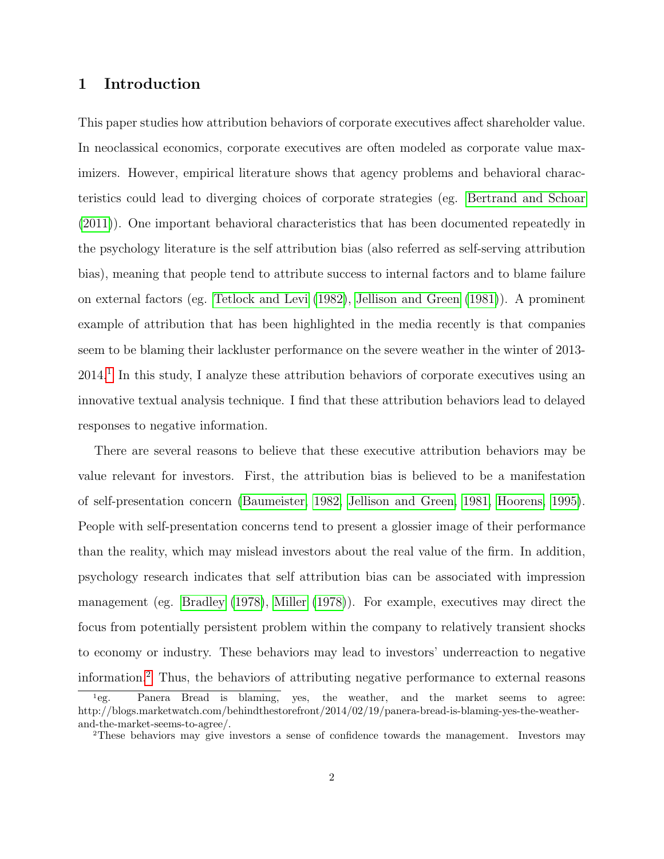## 1 Introduction

This paper studies how attribution behaviors of corporate executives affect shareholder value. In neoclassical economics, corporate executives are often modeled as corporate value maximizers. However, empirical literature shows that agency problems and behavioral characteristics could lead to diverging choices of corporate strategies (eg. [Bertrand and Schoar](#page-25-0) [\(2011\)](#page-25-0)). One important behavioral characteristics that has been documented repeatedly in the psychology literature is the self attribution bias (also referred as self-serving attribution bias), meaning that people tend to attribute success to internal factors and to blame failure on external factors (eg. [Tetlock and Levi](#page-30-0) [\(1982\)](#page-30-0), [Jellison and Green](#page-27-0) [\(1981\)](#page-27-0)). A prominent example of attribution that has been highlighted in the media recently is that companies seem to be blaming their lackluster performance on the severe weather in the winter of 2013- 2014.[1](#page-0-0) In this study, I analyze these attribution behaviors of corporate executives using an innovative textual analysis technique. I find that these attribution behaviors lead to delayed responses to negative information.

There are several reasons to believe that these executive attribution behaviors may be value relevant for investors. First, the attribution bias is believed to be a manifestation of self-presentation concern [\(Baumeister, 1982,](#page-25-1) [Jellison and Green, 1981,](#page-27-0) [Hoorens, 1995\)](#page-27-1). People with self-presentation concerns tend to present a glossier image of their performance than the reality, which may mislead investors about the real value of the firm. In addition, psychology research indicates that self attribution bias can be associated with impression management (eg. [Bradley](#page-25-2) [\(1978\)](#page-25-2), [Miller](#page-28-0) [\(1978\)](#page-28-0)). For example, executives may direct the focus from potentially persistent problem within the company to relatively transient shocks to economy or industry. These behaviors may lead to investors' underreaction to negative information.[2](#page-0-0) Thus, the behaviors of attributing negative performance to external reasons

<sup>1</sup>eg. Panera Bread is blaming, yes, the weather, and the market seems to agree: http://blogs.marketwatch.com/behindthestorefront/2014/02/19/panera-bread-is-blaming-yes-the-weatherand-the-market-seems-to-agree/.

<sup>2</sup>These behaviors may give investors a sense of confidence towards the management. Investors may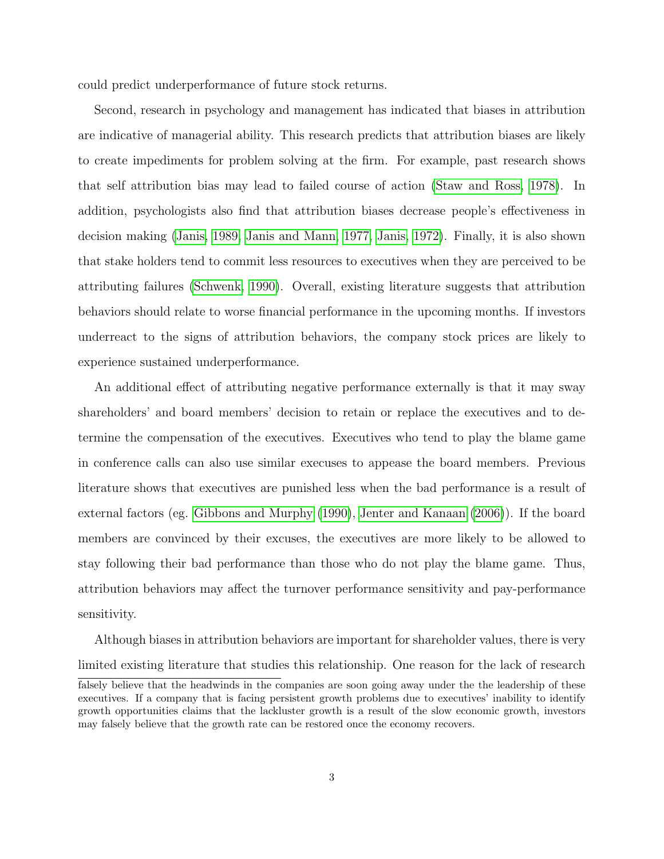could predict underperformance of future stock returns.

Second, research in psychology and management has indicated that biases in attribution are indicative of managerial ability. This research predicts that attribution biases are likely to create impediments for problem solving at the firm. For example, past research shows that self attribution bias may lead to failed course of action [\(Staw and Ross, 1978\)](#page-29-0). In addition, psychologists also find that attribution biases decrease people's effectiveness in decision making [\(Janis, 1989,](#page-27-2) [Janis and Mann, 1977,](#page-27-3) [Janis, 1972\)](#page-27-4). Finally, it is also shown that stake holders tend to commit less resources to executives when they are perceived to be attributing failures [\(Schwenk, 1990\)](#page-29-1). Overall, existing literature suggests that attribution behaviors should relate to worse financial performance in the upcoming months. If investors underreact to the signs of attribution behaviors, the company stock prices are likely to experience sustained underperformance.

An additional effect of attributing negative performance externally is that it may sway shareholders' and board members' decision to retain or replace the executives and to determine the compensation of the executives. Executives who tend to play the blame game in conference calls can also use similar execuses to appease the board members. Previous literature shows that executives are punished less when the bad performance is a result of external factors (eg. [Gibbons and Murphy](#page-27-5) [\(1990\)](#page-27-5), [Jenter and Kanaan](#page-27-6) [\(2006\)](#page-27-6)). If the board members are convinced by their excuses, the executives are more likely to be allowed to stay following their bad performance than those who do not play the blame game. Thus, attribution behaviors may affect the turnover performance sensitivity and pay-performance sensitivity.

Although biases in attribution behaviors are important for shareholder values, there is very limited existing literature that studies this relationship. One reason for the lack of research

falsely believe that the headwinds in the companies are soon going away under the the leadership of these executives. If a company that is facing persistent growth problems due to executives' inability to identify growth opportunities claims that the lackluster growth is a result of the slow economic growth, investors may falsely believe that the growth rate can be restored once the economy recovers.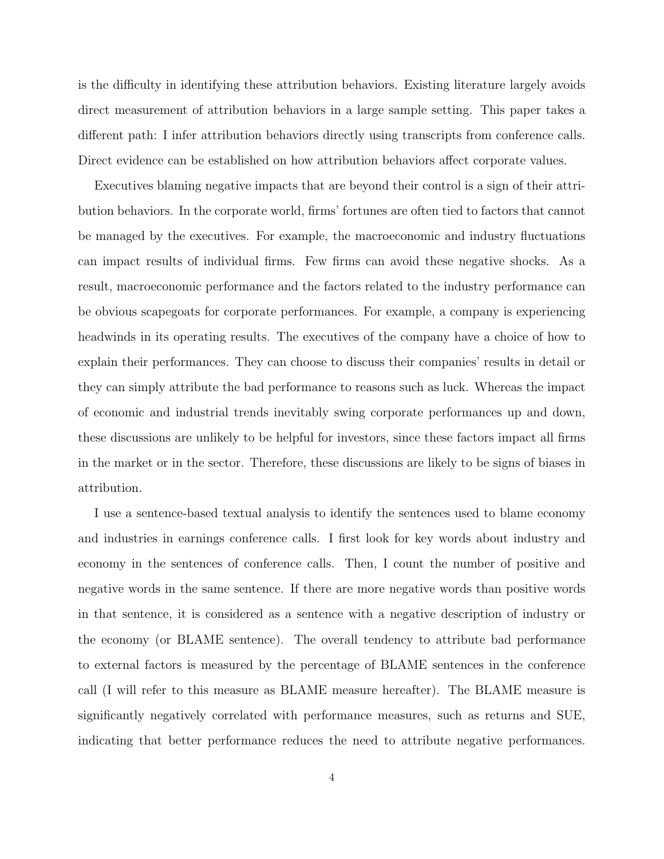is the difficulty in identifying these attribution behaviors. Existing literature largely avoids direct measurement of attribution behaviors in a large sample setting. This paper takes a different path: I infer attribution behaviors directly using transcripts from conference calls. Direct evidence can be established on how attribution behaviors affect corporate values.

Executives blaming negative impacts that are beyond their control is a sign of their attribution behaviors. In the corporate world, firms' fortunes are often tied to factors that cannot be managed by the executives. For example, the macroeconomic and industry fluctuations can impact results of individual firms. Few firms can avoid these negative shocks. As a result, macroeconomic performance and the factors related to the industry performance can be obvious scapegoats for corporate performances. For example, a company is experiencing headwinds in its operating results. The executives of the company have a choice of how to explain their performances. They can choose to discuss their companies' results in detail or they can simply attribute the bad performance to reasons such as luck. Whereas the impact of economic and industrial trends inevitably swing corporate performances up and down, these discussions are unlikely to be helpful for investors, since these factors impact all firms in the market or in the sector. Therefore, these discussions are likely to be signs of biases in attribution.

I use a sentence-based textual analysis to identify the sentences used to blame economy and industries in earnings conference calls. I first look for key words about industry and economy in the sentences of conference calls. Then, I count the number of positive and negative words in the same sentence. If there are more negative words than positive words in that sentence, it is considered as a sentence with a negative description of industry or the economy (or BLAME sentence). The overall tendency to attribute bad performance to external factors is measured by the percentage of BLAME sentences in the conference call (I will refer to this measure as BLAME measure hereafter). The BLAME measure is significantly negatively correlated with performance measures, such as returns and SUE, indicating that better performance reduces the need to attribute negative performances.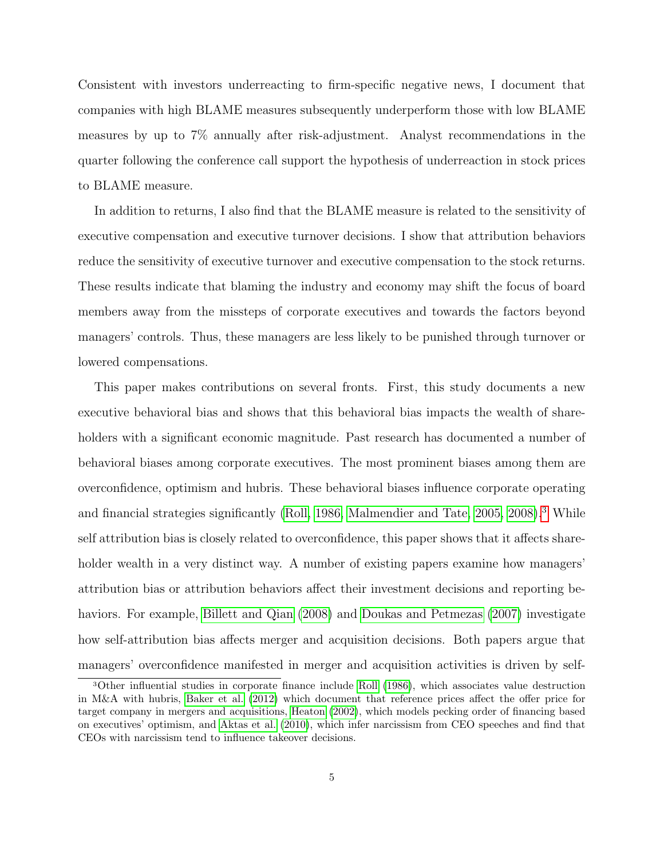Consistent with investors underreacting to firm-specific negative news, I document that companies with high BLAME measures subsequently underperform those with low BLAME measures by up to 7% annually after risk-adjustment. Analyst recommendations in the quarter following the conference call support the hypothesis of underreaction in stock prices to BLAME measure.

In addition to returns, I also find that the BLAME measure is related to the sensitivity of executive compensation and executive turnover decisions. I show that attribution behaviors reduce the sensitivity of executive turnover and executive compensation to the stock returns. These results indicate that blaming the industry and economy may shift the focus of board members away from the missteps of corporate executives and towards the factors beyond managers' controls. Thus, these managers are less likely to be punished through turnover or lowered compensations.

This paper makes contributions on several fronts. First, this study documents a new executive behavioral bias and shows that this behavioral bias impacts the wealth of shareholders with a significant economic magnitude. Past research has documented a number of behavioral biases among corporate executives. The most prominent biases among them are overconfidence, optimism and hubris. These behavioral biases influence corporate operating and financial strategies significantly [\(Roll, 1986,](#page-29-2) [Malmendier and Tate, 2005,](#page-28-1) [2008\)](#page-28-2).<sup>[3](#page-0-0)</sup> While self attribution bias is closely related to overconfidence, this paper shows that it affects shareholder wealth in a very distinct way. A number of existing papers examine how managers' attribution bias or attribution behaviors affect their investment decisions and reporting behaviors. For example, [Billett and Qian](#page-25-3) [\(2008\)](#page-25-3) and [Doukas and Petmezas](#page-26-0) [\(2007\)](#page-26-0) investigate how self-attribution bias affects merger and acquisition decisions. Both papers argue that managers' overconfidence manifested in merger and acquisition activities is driven by self-

<sup>3</sup>Other influential studies in corporate finance include [Roll](#page-29-2) [\(1986\)](#page-29-2), which associates value destruction in M&A with hubris, [Baker et al.](#page-25-4) [\(2012\)](#page-25-4) which document that reference prices affect the offer price for target company in mergers and acquisitions, [Heaton](#page-27-7) [\(2002\)](#page-27-7), which models pecking order of financing based on executives' optimism, and [Aktas et al.](#page-25-5) [\(2010\)](#page-25-5), which infer narcissism from CEO speeches and find that CEOs with narcissism tend to influence takeover decisions.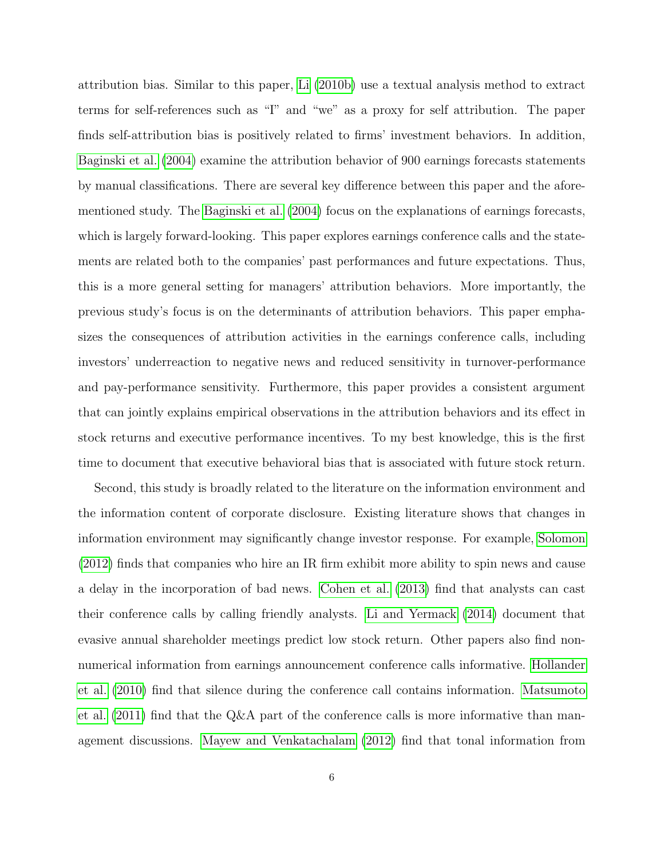attribution bias. Similar to this paper, [Li](#page-28-3) [\(2010b\)](#page-28-3) use a textual analysis method to extract terms for self-references such as "I" and "we" as a proxy for self attribution. The paper finds self-attribution bias is positively related to firms' investment behaviors. In addition, [Baginski et al.](#page-25-6) [\(2004\)](#page-25-6) examine the attribution behavior of 900 earnings forecasts statements by manual classifications. There are several key difference between this paper and the aforementioned study. The [Baginski et al.](#page-25-6) [\(2004\)](#page-25-6) focus on the explanations of earnings forecasts, which is largely forward-looking. This paper explores earnings conference calls and the statements are related both to the companies' past performances and future expectations. Thus, this is a more general setting for managers' attribution behaviors. More importantly, the previous study's focus is on the determinants of attribution behaviors. This paper emphasizes the consequences of attribution activities in the earnings conference calls, including investors' underreaction to negative news and reduced sensitivity in turnover-performance and pay-performance sensitivity. Furthermore, this paper provides a consistent argument that can jointly explains empirical observations in the attribution behaviors and its effect in stock returns and executive performance incentives. To my best knowledge, this is the first time to document that executive behavioral bias that is associated with future stock return.

Second, this study is broadly related to the literature on the information environment and the information content of corporate disclosure. Existing literature shows that changes in information environment may significantly change investor response. For example, [Solomon](#page-29-3) [\(2012\)](#page-29-3) finds that companies who hire an IR firm exhibit more ability to spin news and cause a delay in the incorporation of bad news. [Cohen et al.](#page-26-1) [\(2013\)](#page-26-1) find that analysts can cast their conference calls by calling friendly analysts. [Li and Yermack](#page-28-4) [\(2014\)](#page-28-4) document that evasive annual shareholder meetings predict low stock return. Other papers also find nonnumerical information from earnings announcement conference calls informative. [Hollander](#page-27-8) [et al.](#page-27-8) [\(2010\)](#page-27-8) find that silence during the conference call contains information. [Matsumoto](#page-28-5) [et al.](#page-28-5) [\(2011\)](#page-28-5) find that the Q&A part of the conference calls is more informative than management discussions. [Mayew and Venkatachalam](#page-28-6) [\(2012\)](#page-28-6) find that tonal information from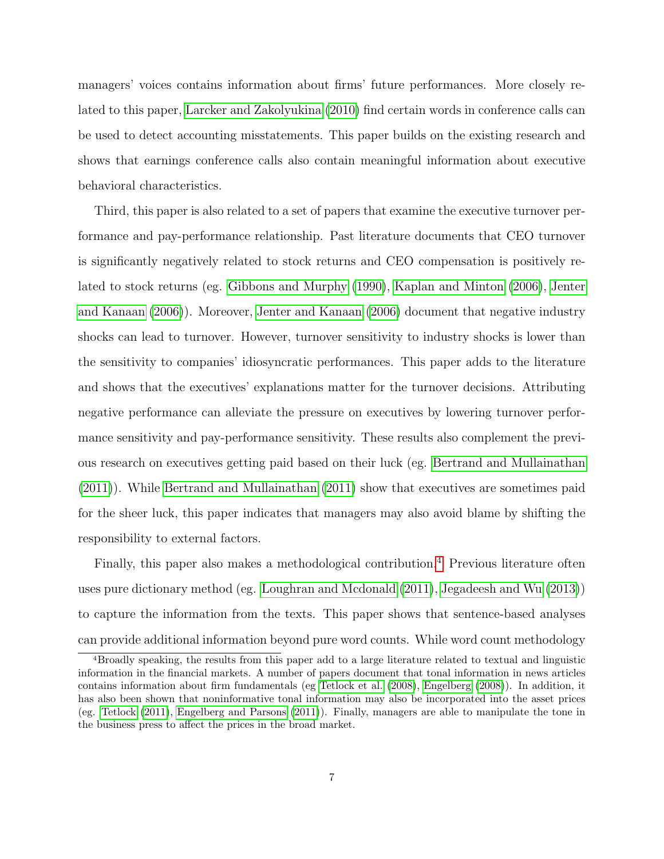managers' voices contains information about firms' future performances. More closely related to this paper, [Larcker and Zakolyukina](#page-28-7) [\(2010\)](#page-28-7) find certain words in conference calls can be used to detect accounting misstatements. This paper builds on the existing research and shows that earnings conference calls also contain meaningful information about executive behavioral characteristics.

Third, this paper is also related to a set of papers that examine the executive turnover performance and pay-performance relationship. Past literature documents that CEO turnover is significantly negatively related to stock returns and CEO compensation is positively related to stock returns (eg. [Gibbons and Murphy](#page-27-5) [\(1990\)](#page-27-5), [Kaplan and Minton](#page-28-8) [\(2006\)](#page-28-8), [Jenter](#page-27-6) [and Kanaan](#page-27-6) [\(2006\)](#page-27-6)). Moreover, [Jenter and Kanaan](#page-27-6) [\(2006\)](#page-27-6) document that negative industry shocks can lead to turnover. However, turnover sensitivity to industry shocks is lower than the sensitivity to companies' idiosyncratic performances. This paper adds to the literature and shows that the executives' explanations matter for the turnover decisions. Attributing negative performance can alleviate the pressure on executives by lowering turnover performance sensitivity and pay-performance sensitivity. These results also complement the previous research on executives getting paid based on their luck (eg. [Bertrand and Mullainathan](#page-25-7) [\(2011\)](#page-25-7)). While [Bertrand and Mullainathan](#page-25-7) [\(2011\)](#page-25-7) show that executives are sometimes paid for the sheer luck, this paper indicates that managers may also avoid blame by shifting the responsibility to external factors.

Finally, this paper also makes a methodological contribution.[4](#page-0-0) Previous literature often uses pure dictionary method (eg. [Loughran and Mcdonald](#page-28-9) [\(2011\)](#page-28-9), [Jegadeesh and Wu](#page-27-9) [\(2013\)](#page-27-9)) to capture the information from the texts. This paper shows that sentence-based analyses can provide additional information beyond pure word counts. While word count methodology

<sup>4</sup>Broadly speaking, the results from this paper add to a large literature related to textual and linguistic information in the financial markets. A number of papers document that tonal information in news articles contains information about firm fundamentals (eg [Tetlock et al.](#page-29-4) [\(2008\)](#page-29-4), [Engelberg](#page-26-2) [\(2008\)](#page-26-2)). In addition, it has also been shown that noninformative tonal information may also be incorporated into the asset prices (eg. [Tetlock](#page-29-5) [\(2011\)](#page-29-5), [Engelberg and Parsons](#page-26-3) [\(2011\)](#page-26-3)). Finally, managers are able to manipulate the tone in the business press to affect the prices in the broad market.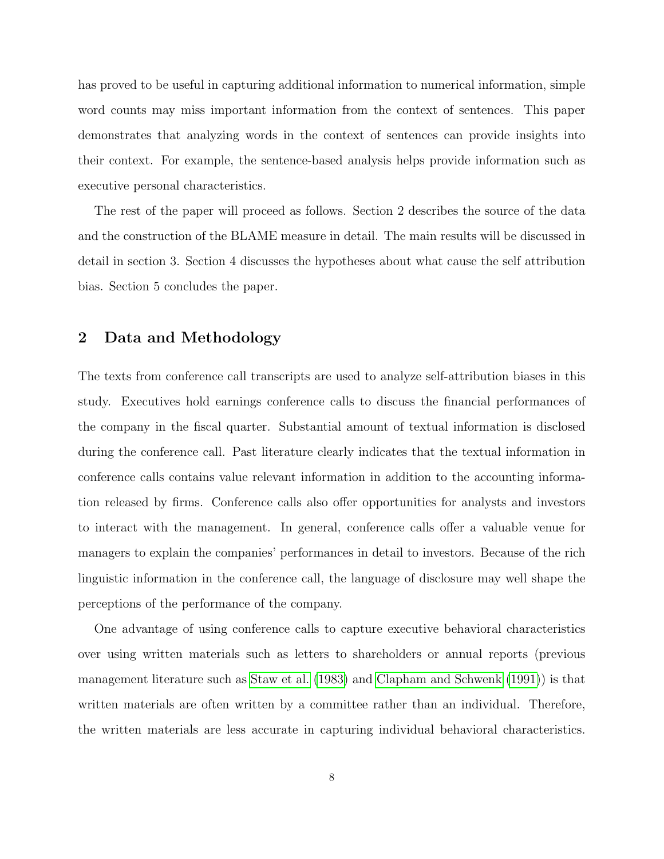has proved to be useful in capturing additional information to numerical information, simple word counts may miss important information from the context of sentences. This paper demonstrates that analyzing words in the context of sentences can provide insights into their context. For example, the sentence-based analysis helps provide information such as executive personal characteristics.

The rest of the paper will proceed as follows. Section 2 describes the source of the data and the construction of the BLAME measure in detail. The main results will be discussed in detail in section 3. Section 4 discusses the hypotheses about what cause the self attribution bias. Section 5 concludes the paper.

# 2 Data and Methodology

The texts from conference call transcripts are used to analyze self-attribution biases in this study. Executives hold earnings conference calls to discuss the financial performances of the company in the fiscal quarter. Substantial amount of textual information is disclosed during the conference call. Past literature clearly indicates that the textual information in conference calls contains value relevant information in addition to the accounting information released by firms. Conference calls also offer opportunities for analysts and investors to interact with the management. In general, conference calls offer a valuable venue for managers to explain the companies' performances in detail to investors. Because of the rich linguistic information in the conference call, the language of disclosure may well shape the perceptions of the performance of the company.

One advantage of using conference calls to capture executive behavioral characteristics over using written materials such as letters to shareholders or annual reports (previous management literature such as [Staw et al.](#page-29-6) [\(1983\)](#page-29-6) and [Clapham and Schwenk](#page-26-4) [\(1991\)](#page-26-4)) is that written materials are often written by a committee rather than an individual. Therefore, the written materials are less accurate in capturing individual behavioral characteristics.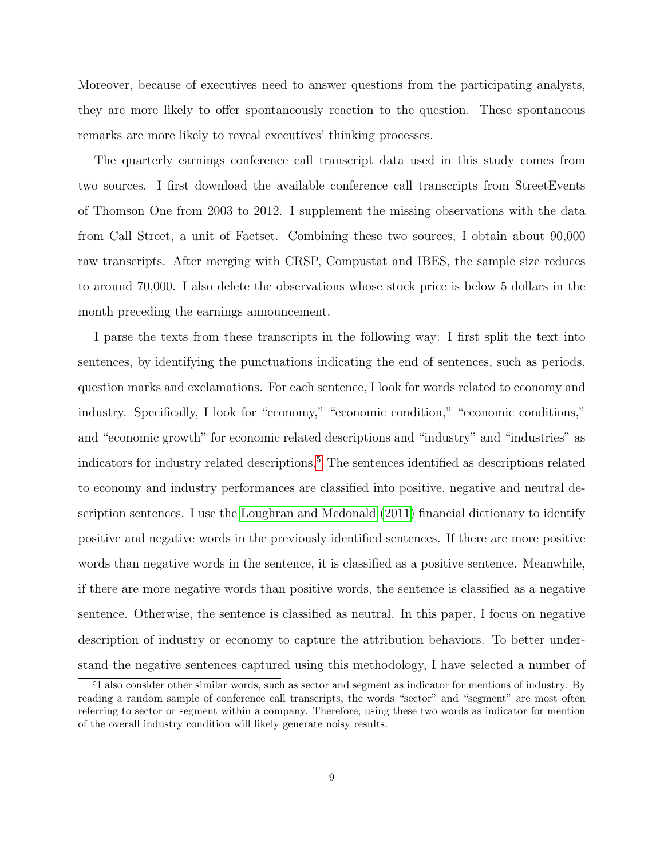Moreover, because of executives need to answer questions from the participating analysts, they are more likely to offer spontaneously reaction to the question. These spontaneous remarks are more likely to reveal executives' thinking processes.

The quarterly earnings conference call transcript data used in this study comes from two sources. I first download the available conference call transcripts from StreetEvents of Thomson One from 2003 to 2012. I supplement the missing observations with the data from Call Street, a unit of Factset. Combining these two sources, I obtain about 90,000 raw transcripts. After merging with CRSP, Compustat and IBES, the sample size reduces to around 70,000. I also delete the observations whose stock price is below 5 dollars in the month preceding the earnings announcement.

I parse the texts from these transcripts in the following way: I first split the text into sentences, by identifying the punctuations indicating the end of sentences, such as periods, question marks and exclamations. For each sentence, I look for words related to economy and industry. Specifically, I look for "economy," "economic condition," "economic conditions," and "economic growth" for economic related descriptions and "industry" and "industries" as indicators for industry related descriptions.<sup>[5](#page-0-0)</sup> The sentences identified as descriptions related to economy and industry performances are classified into positive, negative and neutral description sentences. I use the [Loughran and Mcdonald](#page-28-9) [\(2011\)](#page-28-9) financial dictionary to identify positive and negative words in the previously identified sentences. If there are more positive words than negative words in the sentence, it is classified as a positive sentence. Meanwhile, if there are more negative words than positive words, the sentence is classified as a negative sentence. Otherwise, the sentence is classified as neutral. In this paper, I focus on negative description of industry or economy to capture the attribution behaviors. To better understand the negative sentences captured using this methodology, I have selected a number of

<sup>&</sup>lt;sup>5</sup>I also consider other similar words, such as sector and segment as indicator for mentions of industry. By reading a random sample of conference call transcripts, the words "sector" and "segment" are most often referring to sector or segment within a company. Therefore, using these two words as indicator for mention of the overall industry condition will likely generate noisy results.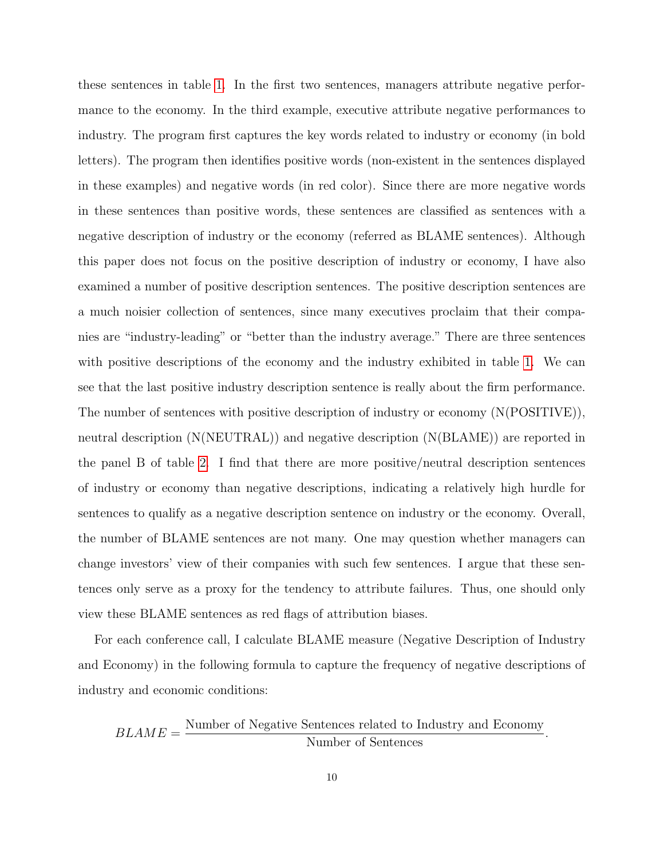these sentences in table [1.](#page-31-0) In the first two sentences, managers attribute negative performance to the economy. In the third example, executive attribute negative performances to industry. The program first captures the key words related to industry or economy (in bold letters). The program then identifies positive words (non-existent in the sentences displayed in these examples) and negative words (in red color). Since there are more negative words in these sentences than positive words, these sentences are classified as sentences with a negative description of industry or the economy (referred as BLAME sentences). Although this paper does not focus on the positive description of industry or economy, I have also examined a number of positive description sentences. The positive description sentences are a much noisier collection of sentences, since many executives proclaim that their companies are "industry-leading" or "better than the industry average." There are three sentences with positive descriptions of the economy and the industry exhibited in table [1.](#page-31-0) We can see that the last positive industry description sentence is really about the firm performance. The number of sentences with positive description of industry or economy (N(POSITIVE)), neutral description (N(NEUTRAL)) and negative description (N(BLAME)) are reported in the panel B of table [2.](#page-32-0) I find that there are more positive/neutral description sentences of industry or economy than negative descriptions, indicating a relatively high hurdle for sentences to qualify as a negative description sentence on industry or the economy. Overall, the number of BLAME sentences are not many. One may question whether managers can change investors' view of their companies with such few sentences. I argue that these sentences only serve as a proxy for the tendency to attribute failures. Thus, one should only view these BLAME sentences as red flags of attribution biases.

For each conference call, I calculate BLAME measure (Negative Description of Industry and Economy) in the following formula to capture the frequency of negative descriptions of industry and economic conditions:

 $BLAME =$ Number of Negative Sentences related to Industry and Economy Number of Sentences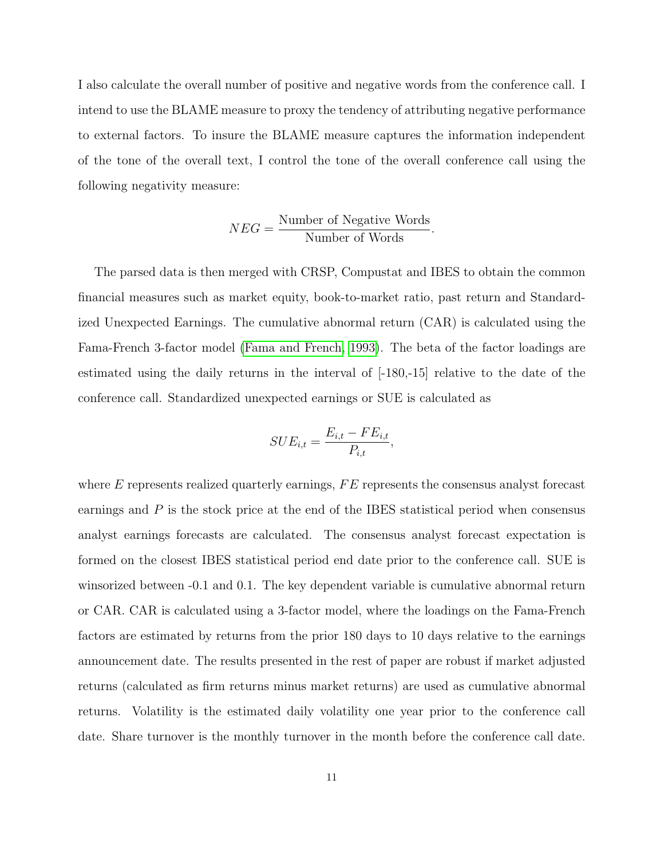I also calculate the overall number of positive and negative words from the conference call. I intend to use the BLAME measure to proxy the tendency of attributing negative performance to external factors. To insure the BLAME measure captures the information independent of the tone of the overall text, I control the tone of the overall conference call using the following negativity measure:

$$
NEG = \frac{\text{Number of Negative Words}}{\text{Number of Words}}.
$$

The parsed data is then merged with CRSP, Compustat and IBES to obtain the common financial measures such as market equity, book-to-market ratio, past return and Standardized Unexpected Earnings. The cumulative abnormal return (CAR) is calculated using the Fama-French 3-factor model [\(Fama and French, 1993\)](#page-26-5). The beta of the factor loadings are estimated using the daily returns in the interval of [-180,-15] relative to the date of the conference call. Standardized unexpected earnings or SUE is calculated as

$$
SUE_{i,t} = \frac{E_{i,t} - FE_{i,t}}{P_{i,t}},
$$

where  $E$  represents realized quarterly earnings,  $FE$  represents the consensus analyst forecast earnings and  $P$  is the stock price at the end of the IBES statistical period when consensus analyst earnings forecasts are calculated. The consensus analyst forecast expectation is formed on the closest IBES statistical period end date prior to the conference call. SUE is winsorized between -0.1 and 0.1. The key dependent variable is cumulative abnormal return or CAR. CAR is calculated using a 3-factor model, where the loadings on the Fama-French factors are estimated by returns from the prior 180 days to 10 days relative to the earnings announcement date. The results presented in the rest of paper are robust if market adjusted returns (calculated as firm returns minus market returns) are used as cumulative abnormal returns. Volatility is the estimated daily volatility one year prior to the conference call date. Share turnover is the monthly turnover in the month before the conference call date.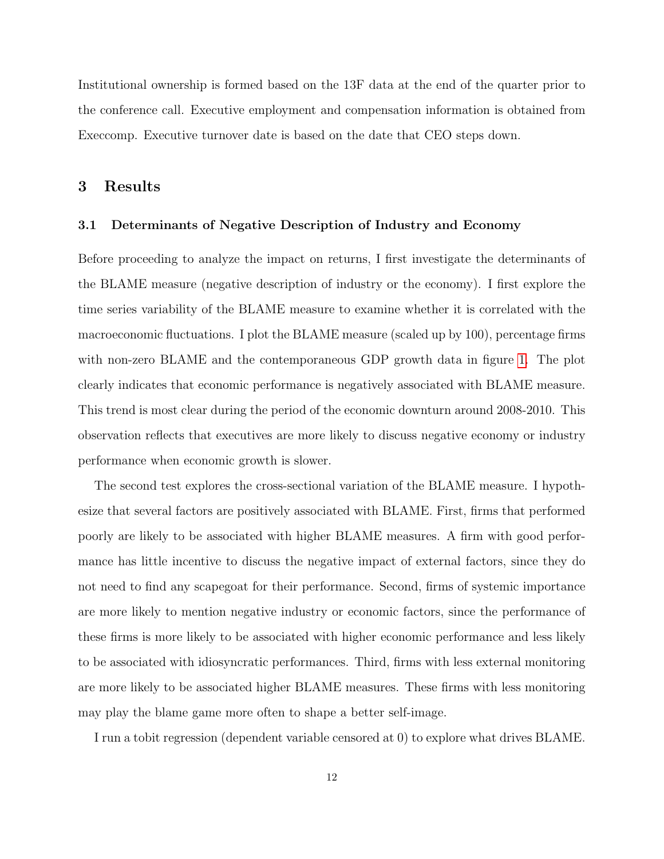Institutional ownership is formed based on the 13F data at the end of the quarter prior to the conference call. Executive employment and compensation information is obtained from Execcomp. Executive turnover date is based on the date that CEO steps down.

# 3 Results

### 3.1 Determinants of Negative Description of Industry and Economy

Before proceeding to analyze the impact on returns, I first investigate the determinants of the BLAME measure (negative description of industry or the economy). I first explore the time series variability of the BLAME measure to examine whether it is correlated with the macroeconomic fluctuations. I plot the BLAME measure (scaled up by 100), percentage firms with non-zero BLAME and the contemporaneous GDP growth data in figure [1.](#page-42-0) The plot clearly indicates that economic performance is negatively associated with BLAME measure. This trend is most clear during the period of the economic downturn around 2008-2010. This observation reflects that executives are more likely to discuss negative economy or industry performance when economic growth is slower.

The second test explores the cross-sectional variation of the BLAME measure. I hypothesize that several factors are positively associated with BLAME. First, firms that performed poorly are likely to be associated with higher BLAME measures. A firm with good performance has little incentive to discuss the negative impact of external factors, since they do not need to find any scapegoat for their performance. Second, firms of systemic importance are more likely to mention negative industry or economic factors, since the performance of these firms is more likely to be associated with higher economic performance and less likely to be associated with idiosyncratic performances. Third, firms with less external monitoring are more likely to be associated higher BLAME measures. These firms with less monitoring may play the blame game more often to shape a better self-image.

I run a tobit regression (dependent variable censored at 0) to explore what drives BLAME.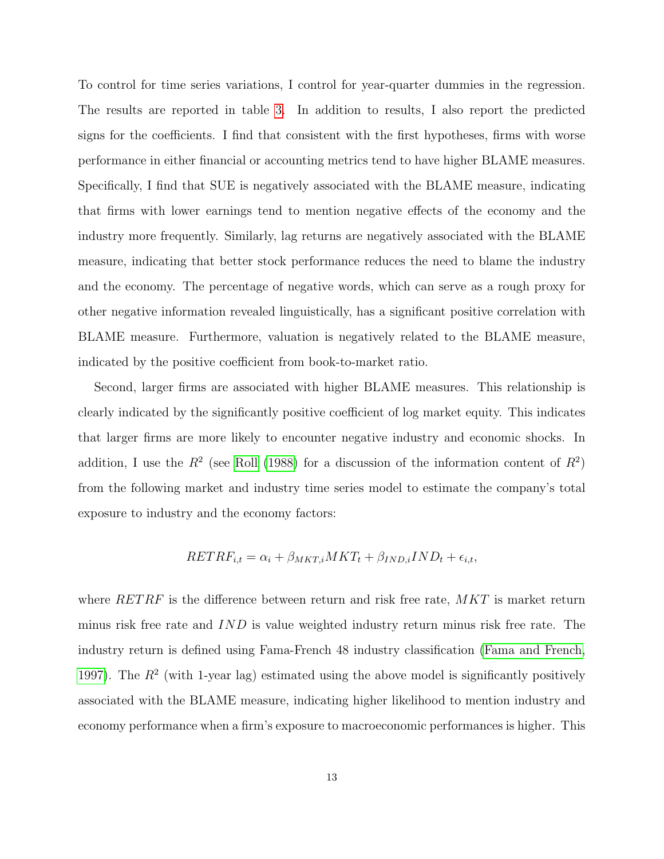To control for time series variations, I control for year-quarter dummies in the regression. The results are reported in table [3.](#page-33-0) In addition to results, I also report the predicted signs for the coefficients. I find that consistent with the first hypotheses, firms with worse performance in either financial or accounting metrics tend to have higher BLAME measures. Specifically, I find that SUE is negatively associated with the BLAME measure, indicating that firms with lower earnings tend to mention negative effects of the economy and the industry more frequently. Similarly, lag returns are negatively associated with the BLAME measure, indicating that better stock performance reduces the need to blame the industry and the economy. The percentage of negative words, which can serve as a rough proxy for other negative information revealed linguistically, has a significant positive correlation with BLAME measure. Furthermore, valuation is negatively related to the BLAME measure, indicated by the positive coefficient from book-to-market ratio.

Second, larger firms are associated with higher BLAME measures. This relationship is clearly indicated by the significantly positive coefficient of log market equity. This indicates that larger firms are more likely to encounter negative industry and economic shocks. In addition, I use the  $R^2$  (see [Roll](#page-29-7) [\(1988\)](#page-29-7) for a discussion of the information content of  $R^2$ ) from the following market and industry time series model to estimate the company's total exposure to industry and the economy factors:

$$
RETRF_{i,t} = \alpha_i + \beta_{MKT,i} MKT_t + \beta_{IND,i} IND_t + \epsilon_{i,t},
$$

where  $RETRF$  is the difference between return and risk free rate,  $MKT$  is market return minus risk free rate and IND is value weighted industry return minus risk free rate. The industry return is defined using Fama-French 48 industry classification [\(Fama and French,](#page-26-6) [1997\)](#page-26-6). The  $R^2$  (with 1-year lag) estimated using the above model is significantly positively associated with the BLAME measure, indicating higher likelihood to mention industry and economy performance when a firm's exposure to macroeconomic performances is higher. This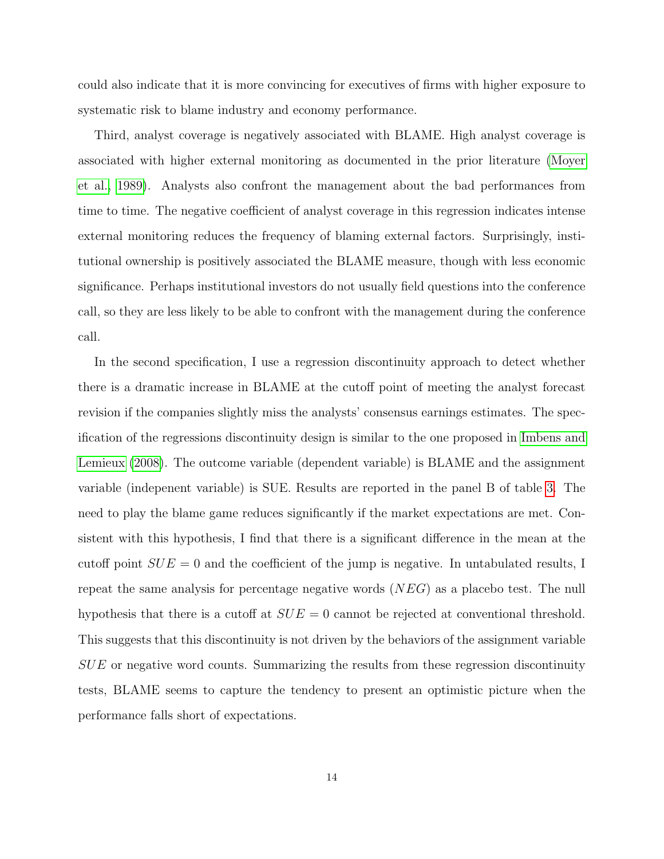could also indicate that it is more convincing for executives of firms with higher exposure to systematic risk to blame industry and economy performance.

Third, analyst coverage is negatively associated with BLAME. High analyst coverage is associated with higher external monitoring as documented in the prior literature [\(Moyer](#page-28-10) [et al., 1989\)](#page-28-10). Analysts also confront the management about the bad performances from time to time. The negative coefficient of analyst coverage in this regression indicates intense external monitoring reduces the frequency of blaming external factors. Surprisingly, institutional ownership is positively associated the BLAME measure, though with less economic significance. Perhaps institutional investors do not usually field questions into the conference call, so they are less likely to be able to confront with the management during the conference call.

In the second specification, I use a regression discontinuity approach to detect whether there is a dramatic increase in BLAME at the cutoff point of meeting the analyst forecast revision if the companies slightly miss the analysts' consensus earnings estimates. The specification of the regressions discontinuity design is similar to the one proposed in [Imbens and](#page-27-10) [Lemieux](#page-27-10) [\(2008\)](#page-27-10). The outcome variable (dependent variable) is BLAME and the assignment variable (indepenent variable) is SUE. Results are reported in the panel B of table [3.](#page-33-0) The need to play the blame game reduces significantly if the market expectations are met. Consistent with this hypothesis, I find that there is a significant difference in the mean at the cutoff point  $SUE = 0$  and the coefficient of the jump is negative. In untabulated results, I repeat the same analysis for percentage negative words (NEG) as a placebo test. The null hypothesis that there is a cutoff at  $SUE = 0$  cannot be rejected at conventional threshold. This suggests that this discontinuity is not driven by the behaviors of the assignment variable SUE or negative word counts. Summarizing the results from these regression discontinuity tests, BLAME seems to capture the tendency to present an optimistic picture when the performance falls short of expectations.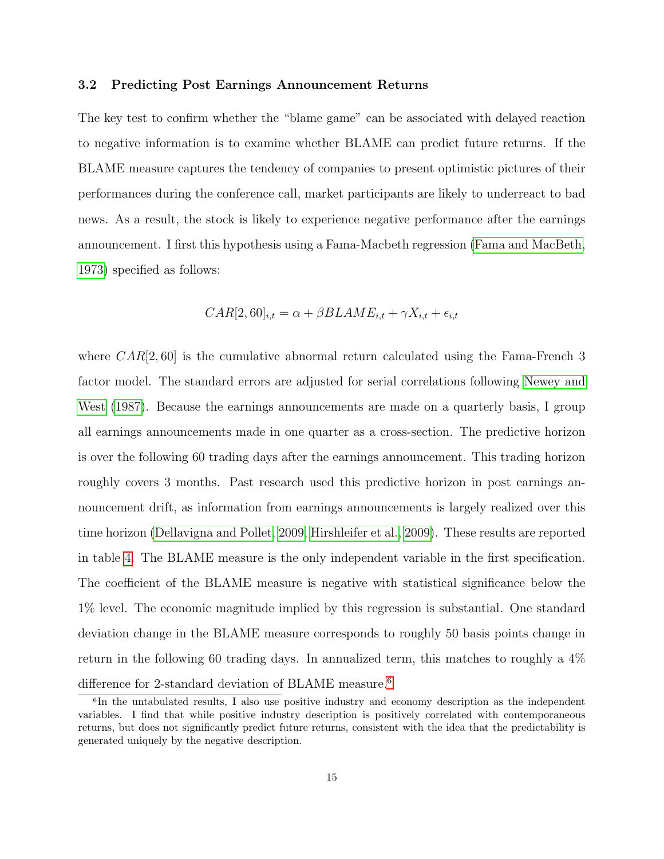#### 3.2 Predicting Post Earnings Announcement Returns

The key test to confirm whether the "blame game" can be associated with delayed reaction to negative information is to examine whether BLAME can predict future returns. If the BLAME measure captures the tendency of companies to present optimistic pictures of their performances during the conference call, market participants are likely to underreact to bad news. As a result, the stock is likely to experience negative performance after the earnings announcement. I first this hypothesis using a Fama-Macbeth regression [\(Fama and MacBeth,](#page-26-7) [1973\)](#page-26-7) specified as follows:

$$
CAR[2, 60]_{i,t} = \alpha + \beta BLAME_{i,t} + \gamma X_{i,t} + \epsilon_{i,t}
$$

where  $CAR[2, 60]$  is the cumulative abnormal return calculated using the Fama-French 3 factor model. The standard errors are adjusted for serial correlations following [Newey and](#page-29-8) [West](#page-29-8) [\(1987\)](#page-29-8). Because the earnings announcements are made on a quarterly basis, I group all earnings announcements made in one quarter as a cross-section. The predictive horizon is over the following 60 trading days after the earnings announcement. This trading horizon roughly covers 3 months. Past research used this predictive horizon in post earnings announcement drift, as information from earnings announcements is largely realized over this time horizon [\(Dellavigna and Pollet, 2009,](#page-26-8) [Hirshleifer et al., 2009\)](#page-27-11). These results are reported in table [4.](#page-34-0) The BLAME measure is the only independent variable in the first specification. The coefficient of the BLAME measure is negative with statistical significance below the 1% level. The economic magnitude implied by this regression is substantial. One standard deviation change in the BLAME measure corresponds to roughly 50 basis points change in return in the following 60 trading days. In annualized term, this matches to roughly a 4% difference for 2-standard deviation of BLAME measure.<sup>[6](#page-0-0)</sup>

<sup>6</sup> In the untabulated results, I also use positive industry and economy description as the independent variables. I find that while positive industry description is positively correlated with contemporaneous returns, but does not significantly predict future returns, consistent with the idea that the predictability is generated uniquely by the negative description.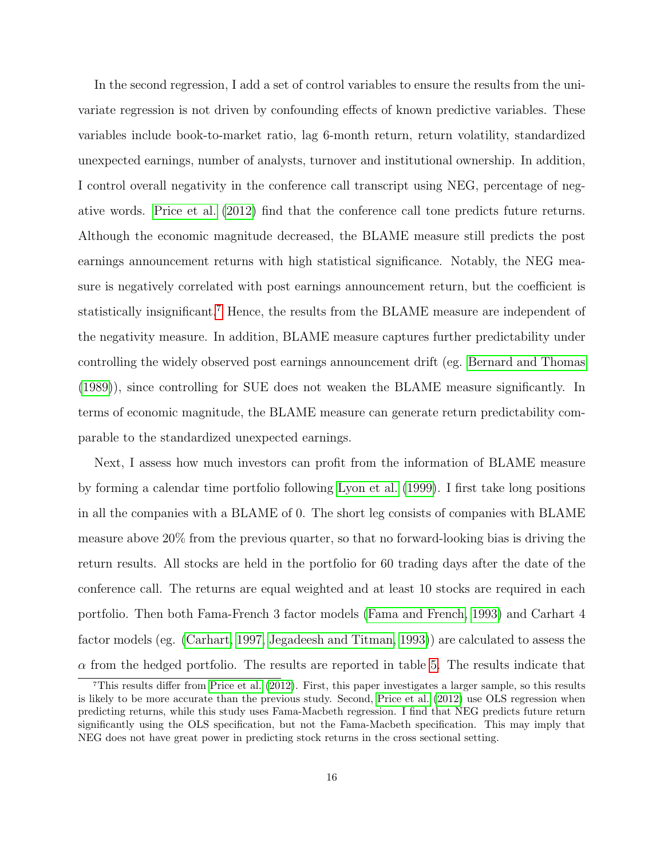In the second regression, I add a set of control variables to ensure the results from the univariate regression is not driven by confounding effects of known predictive variables. These variables include book-to-market ratio, lag 6-month return, return volatility, standardized unexpected earnings, number of analysts, turnover and institutional ownership. In addition, I control overall negativity in the conference call transcript using NEG, percentage of negative words. [Price et al.](#page-29-9) [\(2012\)](#page-29-9) find that the conference call tone predicts future returns. Although the economic magnitude decreased, the BLAME measure still predicts the post earnings announcement returns with high statistical significance. Notably, the NEG measure is negatively correlated with post earnings announcement return, but the coefficient is statistically insignificant.[7](#page-0-0) Hence, the results from the BLAME measure are independent of the negativity measure. In addition, BLAME measure captures further predictability under controlling the widely observed post earnings announcement drift (eg. [Bernard and Thomas](#page-25-8) [\(1989\)](#page-25-8)), since controlling for SUE does not weaken the BLAME measure significantly. In terms of economic magnitude, the BLAME measure can generate return predictability comparable to the standardized unexpected earnings.

Next, I assess how much investors can profit from the information of BLAME measure by forming a calendar time portfolio following [Lyon et al.](#page-28-11) [\(1999\)](#page-28-11). I first take long positions in all the companies with a BLAME of 0. The short leg consists of companies with BLAME measure above 20% from the previous quarter, so that no forward-looking bias is driving the return results. All stocks are held in the portfolio for 60 trading days after the date of the conference call. The returns are equal weighted and at least 10 stocks are required in each portfolio. Then both Fama-French 3 factor models [\(Fama and French, 1993\)](#page-26-5) and Carhart 4 factor models (eg. [\(Carhart, 1997,](#page-26-9) [Jegadeesh and Titman, 1993\)](#page-27-12)) are calculated to assess the  $\alpha$  from the hedged portfolio. The results are reported in table [5.](#page-35-0) The results indicate that

<sup>7</sup>This results differ from [Price et al.](#page-29-9) [\(2012\)](#page-29-9). First, this paper investigates a larger sample, so this results is likely to be more accurate than the previous study. Second, [Price et al.](#page-29-9) [\(2012\)](#page-29-9) use OLS regression when predicting returns, while this study uses Fama-Macbeth regression. I find that NEG predicts future return significantly using the OLS specification, but not the Fama-Macbeth specification. This may imply that NEG does not have great power in predicting stock returns in the cross sectional setting.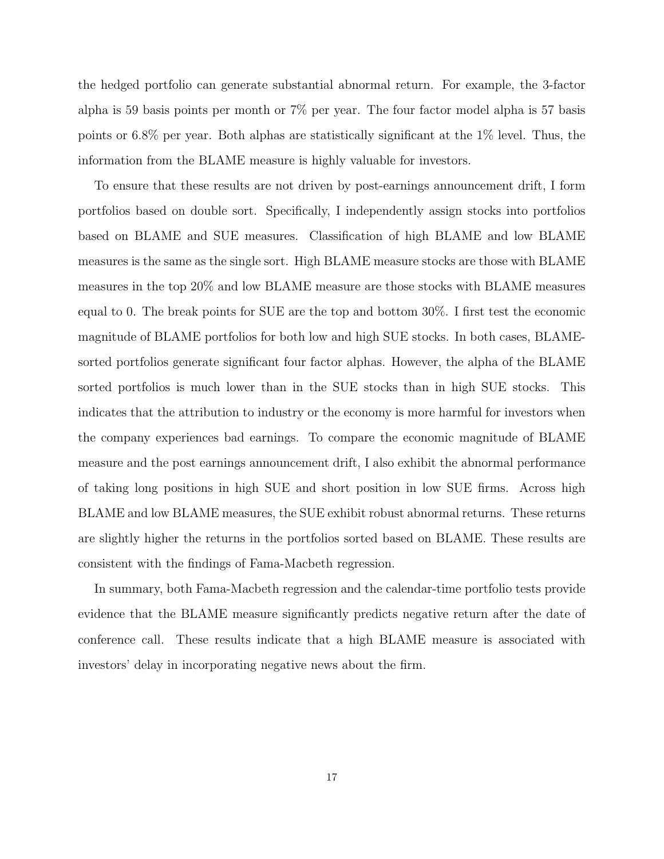the hedged portfolio can generate substantial abnormal return. For example, the 3-factor alpha is 59 basis points per month or 7% per year. The four factor model alpha is 57 basis points or 6.8% per year. Both alphas are statistically significant at the 1% level. Thus, the information from the BLAME measure is highly valuable for investors.

To ensure that these results are not driven by post-earnings announcement drift, I form portfolios based on double sort. Specifically, I independently assign stocks into portfolios based on BLAME and SUE measures. Classification of high BLAME and low BLAME measures is the same as the single sort. High BLAME measure stocks are those with BLAME measures in the top 20% and low BLAME measure are those stocks with BLAME measures equal to 0. The break points for SUE are the top and bottom 30%. I first test the economic magnitude of BLAME portfolios for both low and high SUE stocks. In both cases, BLAMEsorted portfolios generate significant four factor alphas. However, the alpha of the BLAME sorted portfolios is much lower than in the SUE stocks than in high SUE stocks. This indicates that the attribution to industry or the economy is more harmful for investors when the company experiences bad earnings. To compare the economic magnitude of BLAME measure and the post earnings announcement drift, I also exhibit the abnormal performance of taking long positions in high SUE and short position in low SUE firms. Across high BLAME and low BLAME measures, the SUE exhibit robust abnormal returns. These returns are slightly higher the returns in the portfolios sorted based on BLAME. These results are consistent with the findings of Fama-Macbeth regression.

In summary, both Fama-Macbeth regression and the calendar-time portfolio tests provide evidence that the BLAME measure significantly predicts negative return after the date of conference call. These results indicate that a high BLAME measure is associated with investors' delay in incorporating negative news about the firm.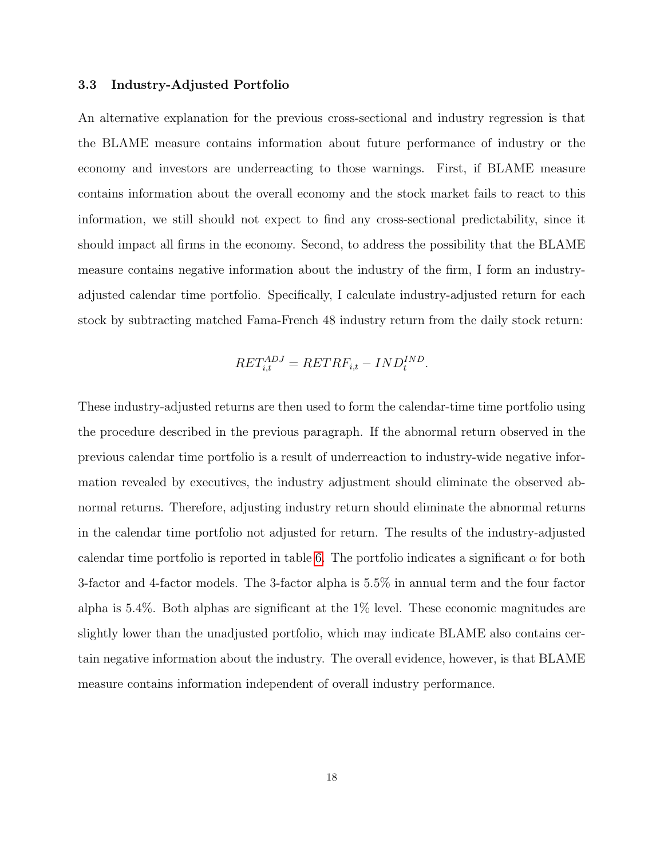### 3.3 Industry-Adjusted Portfolio

An alternative explanation for the previous cross-sectional and industry regression is that the BLAME measure contains information about future performance of industry or the economy and investors are underreacting to those warnings. First, if BLAME measure contains information about the overall economy and the stock market fails to react to this information, we still should not expect to find any cross-sectional predictability, since it should impact all firms in the economy. Second, to address the possibility that the BLAME measure contains negative information about the industry of the firm, I form an industryadjusted calendar time portfolio. Specifically, I calculate industry-adjusted return for each stock by subtracting matched Fama-French 48 industry return from the daily stock return:

$$
RET_{i,t}^{ADJ} = RETRF_{i,t} - IND_t^{IND}.
$$

These industry-adjusted returns are then used to form the calendar-time time portfolio using the procedure described in the previous paragraph. If the abnormal return observed in the previous calendar time portfolio is a result of underreaction to industry-wide negative information revealed by executives, the industry adjustment should eliminate the observed abnormal returns. Therefore, adjusting industry return should eliminate the abnormal returns in the calendar time portfolio not adjusted for return. The results of the industry-adjusted calendar time portfolio is reported in table [6.](#page-36-0) The portfolio indicates a significant  $\alpha$  for both 3-factor and 4-factor models. The 3-factor alpha is 5.5% in annual term and the four factor alpha is 5.4%. Both alphas are significant at the 1% level. These economic magnitudes are slightly lower than the unadjusted portfolio, which may indicate BLAME also contains certain negative information about the industry. The overall evidence, however, is that BLAME measure contains information independent of overall industry performance.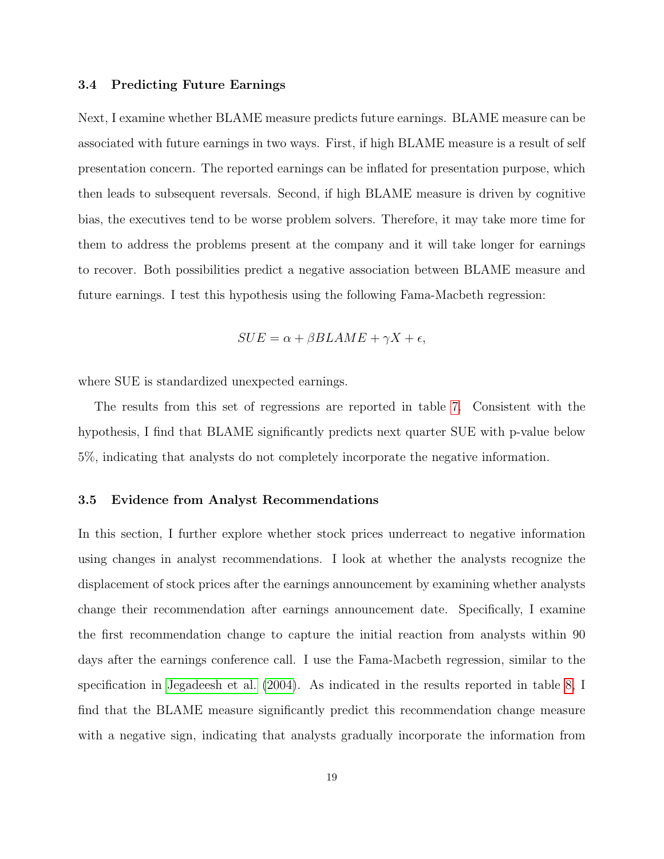#### 3.4 Predicting Future Earnings

Next, I examine whether BLAME measure predicts future earnings. BLAME measure can be associated with future earnings in two ways. First, if high BLAME measure is a result of self presentation concern. The reported earnings can be inflated for presentation purpose, which then leads to subsequent reversals. Second, if high BLAME measure is driven by cognitive bias, the executives tend to be worse problem solvers. Therefore, it may take more time for them to address the problems present at the company and it will take longer for earnings to recover. Both possibilities predict a negative association between BLAME measure and future earnings. I test this hypothesis using the following Fama-Macbeth regression:

$$
SUE = \alpha + \beta BLAME + \gamma X + \epsilon,
$$

where SUE is standardized unexpected earnings.

The results from this set of regressions are reported in table [7.](#page-37-0) Consistent with the hypothesis, I find that BLAME significantly predicts next quarter SUE with p-value below 5%, indicating that analysts do not completely incorporate the negative information.

### 3.5 Evidence from Analyst Recommendations

In this section, I further explore whether stock prices underreact to negative information using changes in analyst recommendations. I look at whether the analysts recognize the displacement of stock prices after the earnings announcement by examining whether analysts change their recommendation after earnings announcement date. Specifically, I examine the first recommendation change to capture the initial reaction from analysts within 90 days after the earnings conference call. I use the Fama-Macbeth regression, similar to the specification in [Jegadeesh et al.](#page-27-13) [\(2004\)](#page-27-13). As indicated in the results reported in table [8,](#page-38-0) I find that the BLAME measure significantly predict this recommendation change measure with a negative sign, indicating that analysts gradually incorporate the information from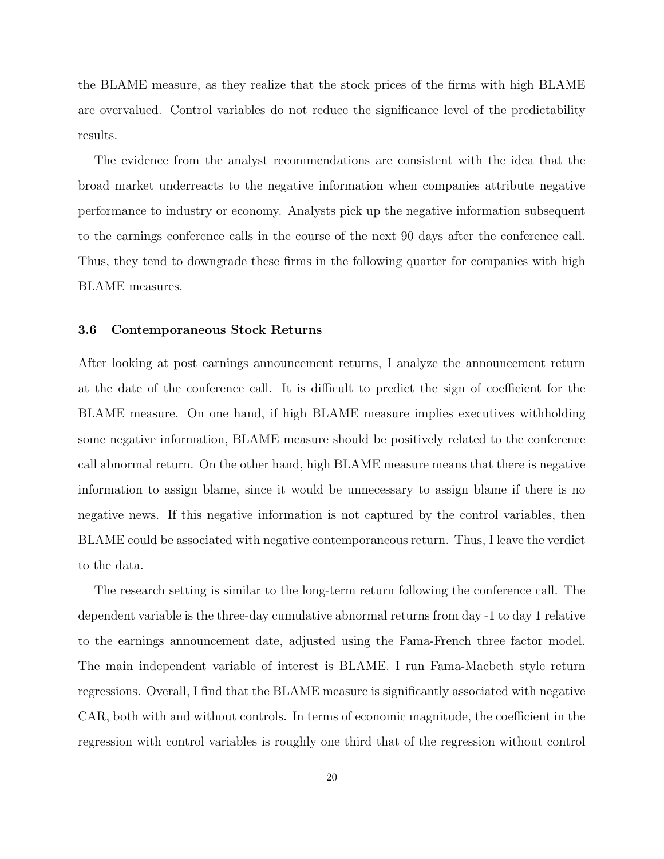the BLAME measure, as they realize that the stock prices of the firms with high BLAME are overvalued. Control variables do not reduce the significance level of the predictability results.

The evidence from the analyst recommendations are consistent with the idea that the broad market underreacts to the negative information when companies attribute negative performance to industry or economy. Analysts pick up the negative information subsequent to the earnings conference calls in the course of the next 90 days after the conference call. Thus, they tend to downgrade these firms in the following quarter for companies with high BLAME measures.

### 3.6 Contemporaneous Stock Returns

After looking at post earnings announcement returns, I analyze the announcement return at the date of the conference call. It is difficult to predict the sign of coefficient for the BLAME measure. On one hand, if high BLAME measure implies executives withholding some negative information, BLAME measure should be positively related to the conference call abnormal return. On the other hand, high BLAME measure means that there is negative information to assign blame, since it would be unnecessary to assign blame if there is no negative news. If this negative information is not captured by the control variables, then BLAME could be associated with negative contemporaneous return. Thus, I leave the verdict to the data.

The research setting is similar to the long-term return following the conference call. The dependent variable is the three-day cumulative abnormal returns from day -1 to day 1 relative to the earnings announcement date, adjusted using the Fama-French three factor model. The main independent variable of interest is BLAME. I run Fama-Macbeth style return regressions. Overall, I find that the BLAME measure is significantly associated with negative CAR, both with and without controls. In terms of economic magnitude, the coefficient in the regression with control variables is roughly one third that of the regression without control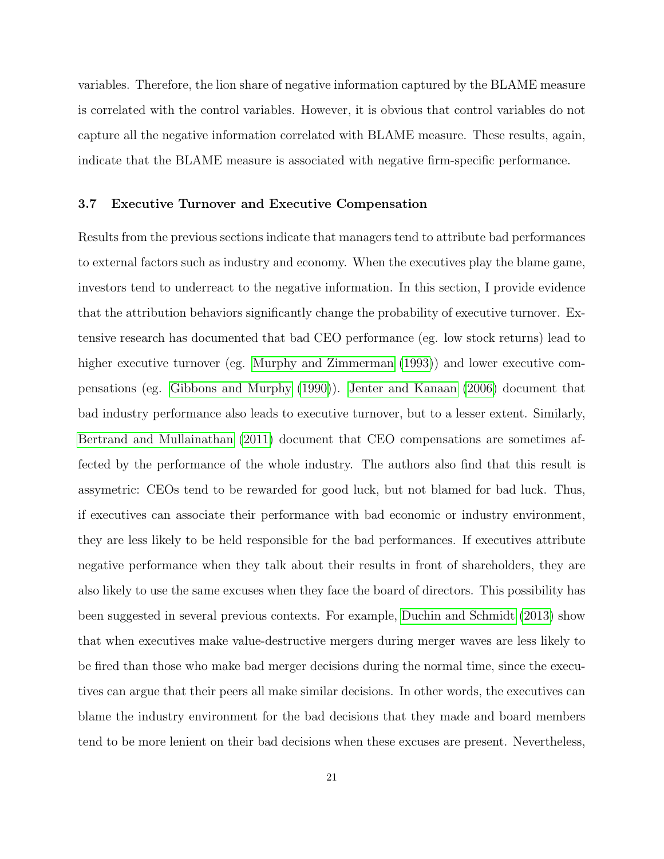variables. Therefore, the lion share of negative information captured by the BLAME measure is correlated with the control variables. However, it is obvious that control variables do not capture all the negative information correlated with BLAME measure. These results, again, indicate that the BLAME measure is associated with negative firm-specific performance.

### 3.7 Executive Turnover and Executive Compensation

Results from the previous sections indicate that managers tend to attribute bad performances to external factors such as industry and economy. When the executives play the blame game, investors tend to underreact to the negative information. In this section, I provide evidence that the attribution behaviors significantly change the probability of executive turnover. Extensive research has documented that bad CEO performance (eg. low stock returns) lead to higher executive turnover (eg. [Murphy and Zimmerman](#page-28-12) [\(1993\)](#page-28-12)) and lower executive compensations (eg. [Gibbons and Murphy](#page-27-5) [\(1990\)](#page-27-5)). [Jenter and Kanaan](#page-27-6) [\(2006\)](#page-27-6) document that bad industry performance also leads to executive turnover, but to a lesser extent. Similarly, [Bertrand and Mullainathan](#page-25-7) [\(2011\)](#page-25-7) document that CEO compensations are sometimes affected by the performance of the whole industry. The authors also find that this result is assymetric: CEOs tend to be rewarded for good luck, but not blamed for bad luck. Thus, if executives can associate their performance with bad economic or industry environment, they are less likely to be held responsible for the bad performances. If executives attribute negative performance when they talk about their results in front of shareholders, they are also likely to use the same excuses when they face the board of directors. This possibility has been suggested in several previous contexts. For example, [Duchin and Schmidt](#page-26-10) [\(2013\)](#page-26-10) show that when executives make value-destructive mergers during merger waves are less likely to be fired than those who make bad merger decisions during the normal time, since the executives can argue that their peers all make similar decisions. In other words, the executives can blame the industry environment for the bad decisions that they made and board members tend to be more lenient on their bad decisions when these excuses are present. Nevertheless,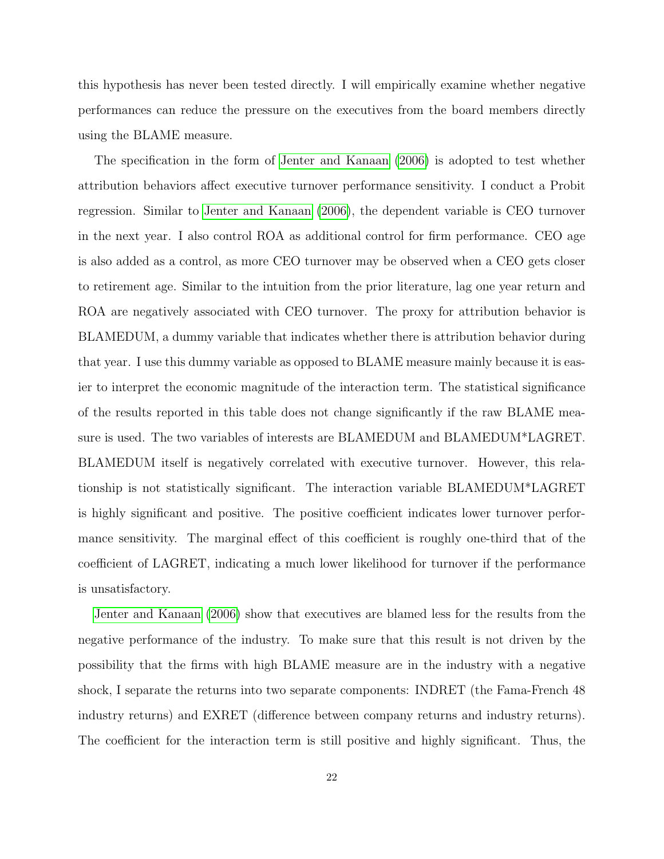this hypothesis has never been tested directly. I will empirically examine whether negative performances can reduce the pressure on the executives from the board members directly using the BLAME measure.

The specification in the form of [Jenter and Kanaan](#page-27-6) [\(2006\)](#page-27-6) is adopted to test whether attribution behaviors affect executive turnover performance sensitivity. I conduct a Probit regression. Similar to [Jenter and Kanaan](#page-27-6) [\(2006\)](#page-27-6), the dependent variable is CEO turnover in the next year. I also control ROA as additional control for firm performance. CEO age is also added as a control, as more CEO turnover may be observed when a CEO gets closer to retirement age. Similar to the intuition from the prior literature, lag one year return and ROA are negatively associated with CEO turnover. The proxy for attribution behavior is BLAMEDUM, a dummy variable that indicates whether there is attribution behavior during that year. I use this dummy variable as opposed to BLAME measure mainly because it is easier to interpret the economic magnitude of the interaction term. The statistical significance of the results reported in this table does not change significantly if the raw BLAME measure is used. The two variables of interests are BLAMEDUM and BLAMEDUM\*LAGRET. BLAMEDUM itself is negatively correlated with executive turnover. However, this relationship is not statistically significant. The interaction variable BLAMEDUM\*LAGRET is highly significant and positive. The positive coefficient indicates lower turnover performance sensitivity. The marginal effect of this coefficient is roughly one-third that of the coefficient of LAGRET, indicating a much lower likelihood for turnover if the performance is unsatisfactory.

[Jenter and Kanaan](#page-27-6) [\(2006\)](#page-27-6) show that executives are blamed less for the results from the negative performance of the industry. To make sure that this result is not driven by the possibility that the firms with high BLAME measure are in the industry with a negative shock, I separate the returns into two separate components: INDRET (the Fama-French 48 industry returns) and EXRET (difference between company returns and industry returns). The coefficient for the interaction term is still positive and highly significant. Thus, the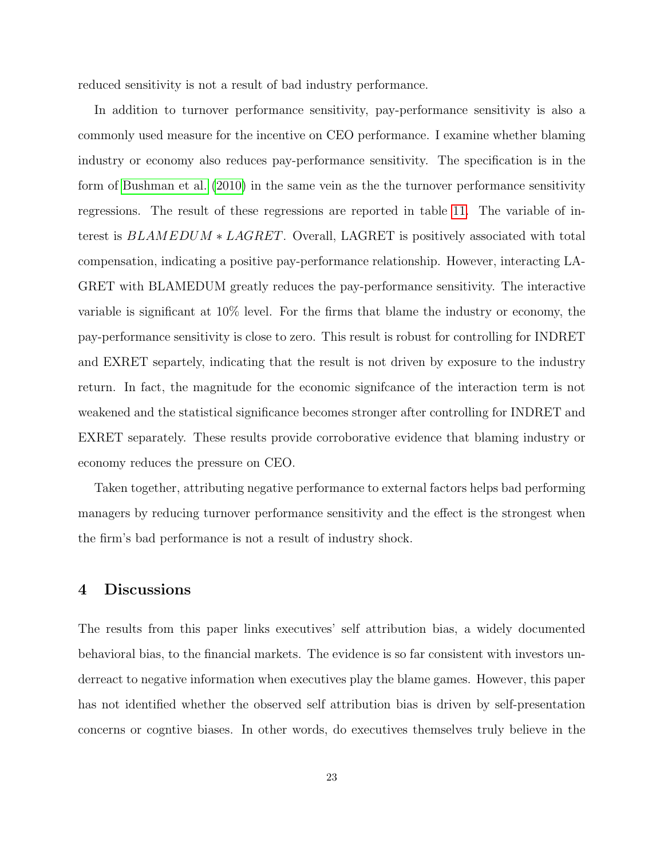reduced sensitivity is not a result of bad industry performance.

In addition to turnover performance sensitivity, pay-performance sensitivity is also a commonly used measure for the incentive on CEO performance. I examine whether blaming industry or economy also reduces pay-performance sensitivity. The specification is in the form of [Bushman et al.](#page-26-11) [\(2010\)](#page-26-11) in the same vein as the the turnover performance sensitivity regressions. The result of these regressions are reported in table [11.](#page-41-0) The variable of interest is BLAMEDUM ∗ LAGRET. Overall, LAGRET is positively associated with total compensation, indicating a positive pay-performance relationship. However, interacting LA-GRET with BLAMEDUM greatly reduces the pay-performance sensitivity. The interactive variable is significant at 10% level. For the firms that blame the industry or economy, the pay-performance sensitivity is close to zero. This result is robust for controlling for INDRET and EXRET separtely, indicating that the result is not driven by exposure to the industry return. In fact, the magnitude for the economic signifcance of the interaction term is not weakened and the statistical significance becomes stronger after controlling for INDRET and EXRET separately. These results provide corroborative evidence that blaming industry or economy reduces the pressure on CEO.

Taken together, attributing negative performance to external factors helps bad performing managers by reducing turnover performance sensitivity and the effect is the strongest when the firm's bad performance is not a result of industry shock.

# 4 Discussions

The results from this paper links executives' self attribution bias, a widely documented behavioral bias, to the financial markets. The evidence is so far consistent with investors underreact to negative information when executives play the blame games. However, this paper has not identified whether the observed self attribution bias is driven by self-presentation concerns or cogntive biases. In other words, do executives themselves truly believe in the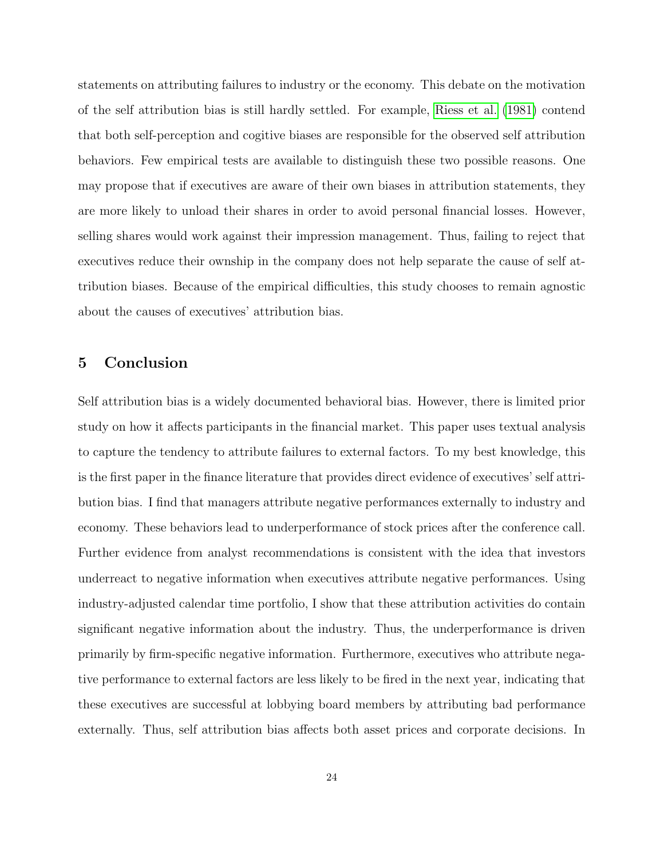statements on attributing failures to industry or the economy. This debate on the motivation of the self attribution bias is still hardly settled. For example, [Riess et al.](#page-29-10) [\(1981\)](#page-29-10) contend that both self-perception and cogitive biases are responsible for the observed self attribution behaviors. Few empirical tests are available to distinguish these two possible reasons. One may propose that if executives are aware of their own biases in attribution statements, they are more likely to unload their shares in order to avoid personal financial losses. However, selling shares would work against their impression management. Thus, failing to reject that executives reduce their ownship in the company does not help separate the cause of self attribution biases. Because of the empirical difficulties, this study chooses to remain agnostic about the causes of executives' attribution bias.

# 5 Conclusion

Self attribution bias is a widely documented behavioral bias. However, there is limited prior study on how it affects participants in the financial market. This paper uses textual analysis to capture the tendency to attribute failures to external factors. To my best knowledge, this is the first paper in the finance literature that provides direct evidence of executives' self attribution bias. I find that managers attribute negative performances externally to industry and economy. These behaviors lead to underperformance of stock prices after the conference call. Further evidence from analyst recommendations is consistent with the idea that investors underreact to negative information when executives attribute negative performances. Using industry-adjusted calendar time portfolio, I show that these attribution activities do contain significant negative information about the industry. Thus, the underperformance is driven primarily by firm-specific negative information. Furthermore, executives who attribute negative performance to external factors are less likely to be fired in the next year, indicating that these executives are successful at lobbying board members by attributing bad performance externally. Thus, self attribution bias affects both asset prices and corporate decisions. In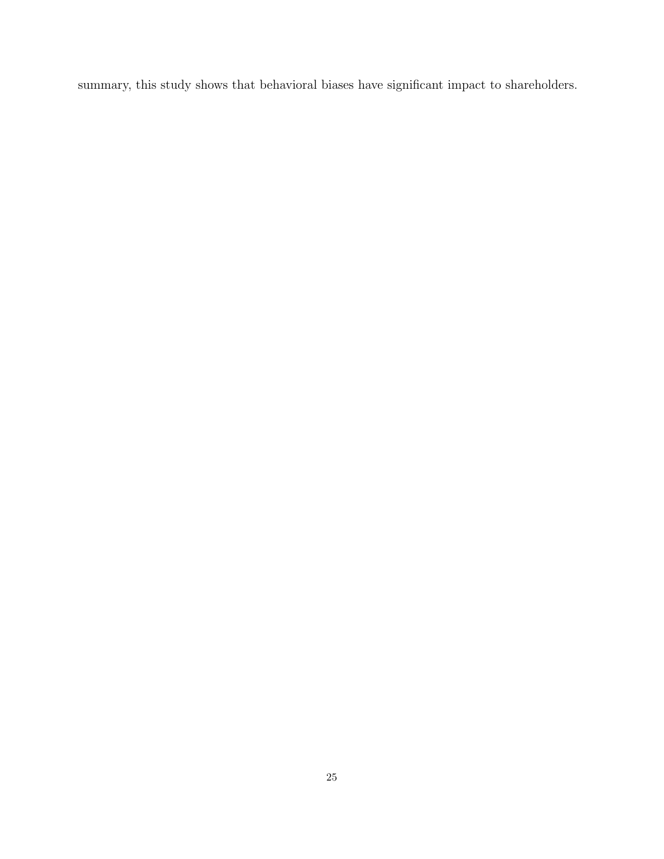summary, this study shows that behavioral biases have significant impact to shareholders.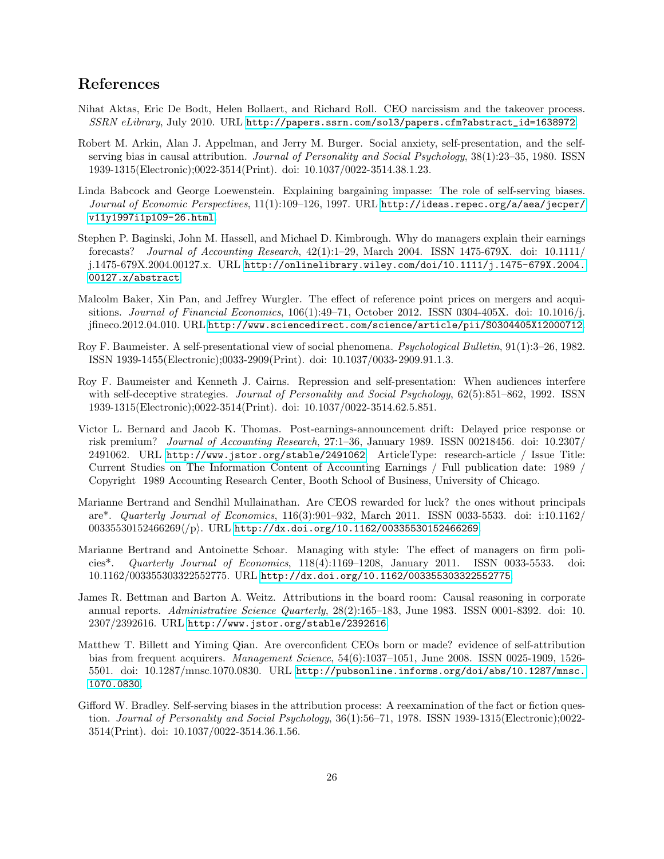# References

- <span id="page-25-5"></span>Nihat Aktas, Eric De Bodt, Helen Bollaert, and Richard Roll. CEO narcissism and the takeover process. SSRN eLibrary, July 2010. URL [http://papers.ssrn.com/sol3/papers.cfm?abstract\\_id=1638972](http://papers.ssrn.com/sol3/papers.cfm?abstract_id=1638972).
- Robert M. Arkin, Alan J. Appelman, and Jerry M. Burger. Social anxiety, self-presentation, and the selfserving bias in causal attribution. *Journal of Personality and Social Psychology*,  $38(1):23-35$ , 1980. ISSN 1939-1315(Electronic);0022-3514(Print). doi: 10.1037/0022-3514.38.1.23.
- Linda Babcock and George Loewenstein. Explaining bargaining impasse: The role of self-serving biases. Journal of Economic Perspectives, 11(1):109–126, 1997. URL [http://ideas.repec.org/a/aea/jecper/](http://ideas.repec.org/a/aea/jecper/v11y1997i1p109-26.html) [v11y1997i1p109-26.html](http://ideas.repec.org/a/aea/jecper/v11y1997i1p109-26.html).
- <span id="page-25-6"></span>Stephen P. Baginski, John M. Hassell, and Michael D. Kimbrough. Why do managers explain their earnings forecasts? Journal of Accounting Research,  $42(1):1-29$ , March 2004. ISSN 1475-679X. doi: 10.1111/ j.1475-679X.2004.00127.x. URL [http://onlinelibrary.wiley.com/doi/10.1111/j.1475-679X.2004.](http://onlinelibrary.wiley.com/doi/10.1111/j.1475-679X.2004.00127.x/abstract) [00127.x/abstract](http://onlinelibrary.wiley.com/doi/10.1111/j.1475-679X.2004.00127.x/abstract).
- <span id="page-25-4"></span>Malcolm Baker, Xin Pan, and Jeffrey Wurgler. The effect of reference point prices on mergers and acquisitions. Journal of Financial Economics,  $106(1):49-71$ , October 2012. ISSN 0304-405X. doi: 10.1016/j. jfineco.2012.04.010. URL <http://www.sciencedirect.com/science/article/pii/S0304405X12000712>.
- <span id="page-25-1"></span>Roy F. Baumeister. A self-presentational view of social phenomena. Psychological Bulletin, 91(1):3–26, 1982. ISSN 1939-1455(Electronic);0033-2909(Print). doi: 10.1037/0033-2909.91.1.3.
- Roy F. Baumeister and Kenneth J. Cairns. Repression and self-presentation: When audiences interfere with self-deceptive strategies. Journal of Personality and Social Psychology, 62(5):851–862, 1992. ISSN 1939-1315(Electronic);0022-3514(Print). doi: 10.1037/0022-3514.62.5.851.
- <span id="page-25-8"></span>Victor L. Bernard and Jacob K. Thomas. Post-earnings-announcement drift: Delayed price response or risk premium? Journal of Accounting Research, 27:1–36, January 1989. ISSN 00218456. doi: 10.2307/ 2491062. URL <http://www.jstor.org/stable/2491062>. ArticleType: research-article / Issue Title: Current Studies on The Information Content of Accounting Earnings / Full publication date: 1989 / Copyright 1989 Accounting Research Center, Booth School of Business, University of Chicago.
- <span id="page-25-7"></span>Marianne Bertrand and Sendhil Mullainathan. Are CEOS rewarded for luck? the ones without principals are\*. Quarterly Journal of Economics, 116(3):901–932, March 2011. ISSN 0033-5533. doi: i:10.1162/  $0.0335530152466269/\langle p \rangle$ . URL <http://dx.doi.org/10.1162/00335530152466269>.
- <span id="page-25-0"></span>Marianne Bertrand and Antoinette Schoar. Managing with style: The effect of managers on firm policies\*. Quarterly Journal of Economics, 118(4):1169–1208, January 2011. ISSN 0033-5533. doi: 10.1162/003355303322552775. URL <http://dx.doi.org/10.1162/003355303322552775>.
- James R. Bettman and Barton A. Weitz. Attributions in the board room: Causal reasoning in corporate annual reports. Administrative Science Quarterly, 28(2):165–183, June 1983. ISSN 0001-8392. doi: 10. 2307/2392616. URL <http://www.jstor.org/stable/2392616>.
- <span id="page-25-3"></span>Matthew T. Billett and Yiming Qian. Are overconfident CEOs born or made? evidence of self-attribution bias from frequent acquirers. Management Science, 54(6):1037–1051, June 2008. ISSN 0025-1909, 1526- 5501. doi: 10.1287/mnsc.1070.0830. URL [http://pubsonline.informs.org/doi/abs/10.1287/mnsc.](http://pubsonline.informs.org/doi/abs/10.1287/mnsc.1070.0830) [1070.0830](http://pubsonline.informs.org/doi/abs/10.1287/mnsc.1070.0830).
- <span id="page-25-2"></span>Gifford W. Bradley. Self-serving biases in the attribution process: A reexamination of the fact or fiction question. Journal of Personality and Social Psychology, 36(1):56–71, 1978. ISSN 1939-1315(Electronic);0022- 3514(Print). doi: 10.1037/0022-3514.36.1.56.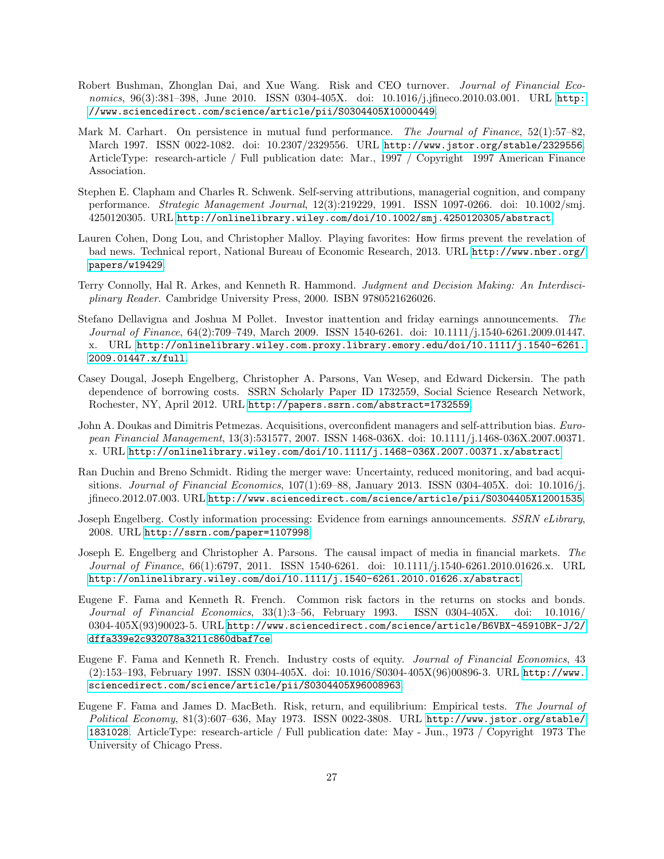- <span id="page-26-11"></span>Robert Bushman, Zhonglan Dai, and Xue Wang. Risk and CEO turnover. Journal of Financial Economics, 96(3):381-398, June 2010. ISSN 0304-405X. doi: 10.1016/j.jfineco.2010.03.001. URL [http:](http://www.sciencedirect.com/science/article/pii/S0304405X10000449) [//www.sciencedirect.com/science/article/pii/S0304405X10000449](http://www.sciencedirect.com/science/article/pii/S0304405X10000449).
- <span id="page-26-9"></span>Mark M. Carhart. On persistence in mutual fund performance. The Journal of Finance, 52(1):57–82, March 1997. ISSN 0022-1082. doi: 10.2307/2329556. URL <http://www.jstor.org/stable/2329556>. ArticleType: research-article / Full publication date: Mar., 1997 / Copyright 1997 American Finance Association.
- <span id="page-26-4"></span>Stephen E. Clapham and Charles R. Schwenk. Self-serving attributions, managerial cognition, and company performance. Strategic Management Journal, 12(3):219229, 1991. ISSN 1097-0266. doi: 10.1002/smj. 4250120305. URL <http://onlinelibrary.wiley.com/doi/10.1002/smj.4250120305/abstract>.
- <span id="page-26-1"></span>Lauren Cohen, Dong Lou, and Christopher Malloy. Playing favorites: How firms prevent the revelation of bad news. Technical report, National Bureau of Economic Research, 2013. URL [http://www.nber.org/](http://www.nber.org/papers/w19429) [papers/w19429](http://www.nber.org/papers/w19429).
- Terry Connolly, Hal R. Arkes, and Kenneth R. Hammond. Judgment and Decision Making: An Interdisciplinary Reader. Cambridge University Press, 2000. ISBN 9780521626026.
- <span id="page-26-8"></span>Stefano Dellavigna and Joshua M Pollet. Investor inattention and friday earnings announcements. The Journal of Finance, 64(2):709–749, March 2009. ISSN 1540-6261. doi: 10.1111/j.1540-6261.2009.01447. x. URL [http://onlinelibrary.wiley.com.proxy.library.emory.edu/doi/10.1111/j.1540-6261.](http://onlinelibrary.wiley.com.proxy.library.emory.edu/doi/10.1111/j.1540-6261.2009.01447.x/full) [2009.01447.x/full](http://onlinelibrary.wiley.com.proxy.library.emory.edu/doi/10.1111/j.1540-6261.2009.01447.x/full).
- Casey Dougal, Joseph Engelberg, Christopher A. Parsons, Van Wesep, and Edward Dickersin. The path dependence of borrowing costs. SSRN Scholarly Paper ID 1732559, Social Science Research Network, Rochester, NY, April 2012. URL <http://papers.ssrn.com/abstract=1732559>.
- <span id="page-26-0"></span>John A. Doukas and Dimitris Petmezas. Acquisitions, overconfident managers and self-attribution bias. European Financial Management, 13(3):531577, 2007. ISSN 1468-036X. doi: 10.1111/j.1468-036X.2007.00371. x. URL <http://onlinelibrary.wiley.com/doi/10.1111/j.1468-036X.2007.00371.x/abstract>.
- <span id="page-26-10"></span>Ran Duchin and Breno Schmidt. Riding the merger wave: Uncertainty, reduced monitoring, and bad acquisitions. Journal of Financial Economics,  $107(1)$ :69–88, January 2013. ISSN 0304-405X. doi: 10.1016/j. jfineco.2012.07.003. URL <http://www.sciencedirect.com/science/article/pii/S0304405X12001535>.
- <span id="page-26-2"></span>Joseph Engelberg. Costly information processing: Evidence from earnings announcements. SSRN eLibrary, 2008. URL <http://ssrn.com/paper=1107998>.
- <span id="page-26-3"></span>Joseph E. Engelberg and Christopher A. Parsons. The causal impact of media in financial markets. The Journal of Finance, 66(1):6797, 2011. ISSN 1540-6261. doi: 10.1111/j.1540-6261.2010.01626.x. URL <http://onlinelibrary.wiley.com/doi/10.1111/j.1540-6261.2010.01626.x/abstract>.
- <span id="page-26-5"></span>Eugene F. Fama and Kenneth R. French. Common risk factors in the returns on stocks and bonds. Journal of Financial Economics, 33(1):3–56, February 1993. ISSN 0304-405X. doi: 10.1016/ 0304-405X(93)90023-5. URL [http://www.sciencedirect.com/science/article/B6VBX-45910BK-J/2/](http://www.sciencedirect.com/science/article/B6VBX-45910BK-J/2/dffa339e2c932078a3211c860dbaf7ce) [dffa339e2c932078a3211c860dbaf7ce](http://www.sciencedirect.com/science/article/B6VBX-45910BK-J/2/dffa339e2c932078a3211c860dbaf7ce).
- <span id="page-26-6"></span>Eugene F. Fama and Kenneth R. French. Industry costs of equity. Journal of Financial Economics, 43 (2):153–193, February 1997. ISSN 0304-405X. doi: 10.1016/S0304-405X(96)00896-3. URL [http://www.](http://www.sciencedirect.com/science/article/pii/S0304405X96008963) [sciencedirect.com/science/article/pii/S0304405X96008963](http://www.sciencedirect.com/science/article/pii/S0304405X96008963).
- <span id="page-26-7"></span>Eugene F. Fama and James D. MacBeth. Risk, return, and equilibrium: Empirical tests. The Journal of Political Economy, 81(3):607–636, May 1973. ISSN 0022-3808. URL [http://www.jstor.org/stable/](http://www.jstor.org/stable/1831028) [1831028](http://www.jstor.org/stable/1831028). ArticleType: research-article / Full publication date: May - Jun., 1973 / Copyright 1973 The University of Chicago Press.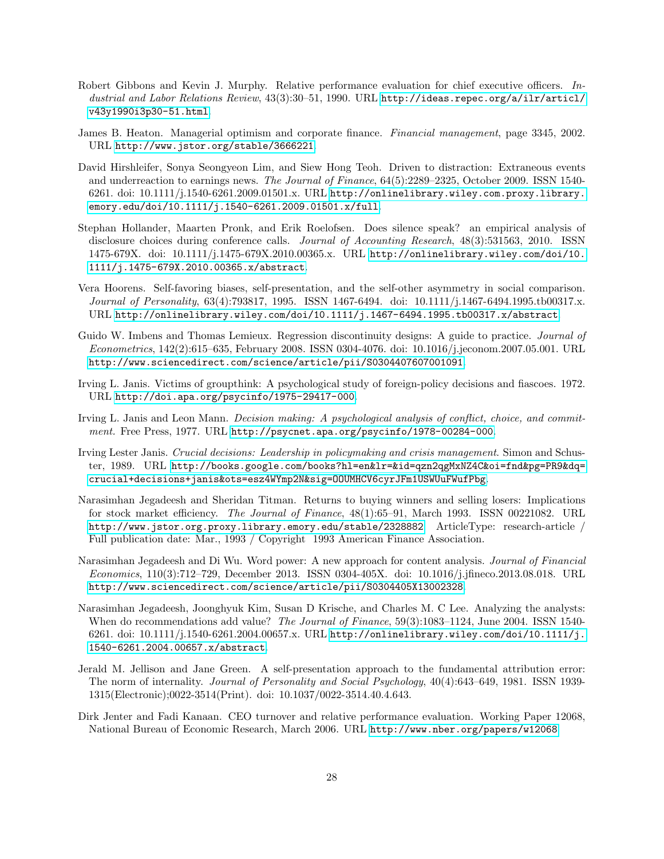- <span id="page-27-5"></span>Robert Gibbons and Kevin J. Murphy. Relative performance evaluation for chief executive officers. Industrial and Labor Relations Review, 43(3):30–51, 1990. URL [http://ideas.repec.org/a/ilr/articl/](http://ideas.repec.org/a/ilr/articl/v43y1990i3p30-51.html) [v43y1990i3p30-51.html](http://ideas.repec.org/a/ilr/articl/v43y1990i3p30-51.html).
- <span id="page-27-7"></span>James B. Heaton. Managerial optimism and corporate finance. Financial management, page 3345, 2002. URL <http://www.jstor.org/stable/3666221>.
- <span id="page-27-11"></span>David Hirshleifer, Sonya Seongyeon Lim, and Siew Hong Teoh. Driven to distraction: Extraneous events and underreaction to earnings news. The Journal of Finance, 64(5):2289–2325, October 2009. ISSN 1540- 6261. doi: 10.1111/j.1540-6261.2009.01501.x. URL [http://onlinelibrary.wiley.com.proxy.library.](http://onlinelibrary.wiley.com.proxy.library.emory.edu/doi/10.1111/j.1540-6261.2009.01501.x/full) [emory.edu/doi/10.1111/j.1540-6261.2009.01501.x/full](http://onlinelibrary.wiley.com.proxy.library.emory.edu/doi/10.1111/j.1540-6261.2009.01501.x/full).
- <span id="page-27-8"></span>Stephan Hollander, Maarten Pronk, and Erik Roelofsen. Does silence speak? an empirical analysis of disclosure choices during conference calls. *Journal of Accounting Research*, 48(3):531563, 2010. ISSN 1475-679X. doi: 10.1111/j.1475-679X.2010.00365.x. URL [http://onlinelibrary.wiley.com/doi/10.](http://onlinelibrary.wiley.com/doi/10.1111/j.1475-679X.2010.00365.x/abstract) [1111/j.1475-679X.2010.00365.x/abstract](http://onlinelibrary.wiley.com/doi/10.1111/j.1475-679X.2010.00365.x/abstract).
- <span id="page-27-1"></span>Vera Hoorens. Self-favoring biases, self-presentation, and the self-other asymmetry in social comparison. Journal of Personality, 63(4):793817, 1995. ISSN 1467-6494. doi: 10.1111/j.1467-6494.1995.tb00317.x. URL <http://onlinelibrary.wiley.com/doi/10.1111/j.1467-6494.1995.tb00317.x/abstract>.
- <span id="page-27-10"></span>Guido W. Imbens and Thomas Lemieux. Regression discontinuity designs: A guide to practice. Journal of Econometrics, 142(2):615–635, February 2008. ISSN 0304-4076. doi: 10.1016/j.jeconom.2007.05.001. URL <http://www.sciencedirect.com/science/article/pii/S0304407607001091>.
- <span id="page-27-4"></span>Irving L. Janis. Victims of groupthink: A psychological study of foreign-policy decisions and fiascoes. 1972. URL <http://doi.apa.org/psycinfo/1975-29417-000>.
- <span id="page-27-3"></span>Irving L. Janis and Leon Mann. Decision making: A psychological analysis of conflict, choice, and commitment. Free Press, 1977. URL <http://psycnet.apa.org/psycinfo/1978-00284-000>.
- <span id="page-27-2"></span>Irving Lester Janis. Crucial decisions: Leadership in policymaking and crisis management. Simon and Schuster, 1989. URL [http://books.google.com/books?hl=en&lr=&id=qzn2qgMxNZ4C&oi=fnd&pg=PR9&dq=](http://books.google.com/books?hl=en&lr=&id=qzn2qgMxNZ4C&oi=fnd&pg=PR9&dq=crucial+decisions+janis&ots=esz4WYmp2N&sig=OOUMHCV6cyrJFm1USWUuFWufPbg) [crucial+decisions+janis&ots=esz4WYmp2N&sig=OOUMHCV6cyrJFm1USWUuFWufPbg](http://books.google.com/books?hl=en&lr=&id=qzn2qgMxNZ4C&oi=fnd&pg=PR9&dq=crucial+decisions+janis&ots=esz4WYmp2N&sig=OOUMHCV6cyrJFm1USWUuFWufPbg).
- <span id="page-27-12"></span>Narasimhan Jegadeesh and Sheridan Titman. Returns to buying winners and selling losers: Implications for stock market efficiency. The Journal of Finance, 48(1):65–91, March 1993. ISSN 00221082. URL <http://www.jstor.org.proxy.library.emory.edu/stable/2328882>. ArticleType: research-article / Full publication date: Mar., 1993 / Copyright 1993 American Finance Association.
- <span id="page-27-9"></span>Narasimhan Jegadeesh and Di Wu. Word power: A new approach for content analysis. Journal of Financial Economics, 110(3):712–729, December 2013. ISSN 0304-405X. doi: 10.1016/j.jfineco.2013.08.018. URL <http://www.sciencedirect.com/science/article/pii/S0304405X13002328>.
- <span id="page-27-13"></span>Narasimhan Jegadeesh, Joonghyuk Kim, Susan D Krische, and Charles M. C Lee. Analyzing the analysts: When do recommendations add value? The Journal of Finance, 59(3):1083-1124, June 2004. ISSN 1540-6261. doi: 10.1111/j.1540-6261.2004.00657.x. URL [http://onlinelibrary.wiley.com/doi/10.1111/j.](http://onlinelibrary.wiley.com/doi/10.1111/j.1540-6261.2004.00657.x/abstract) [1540-6261.2004.00657.x/abstract](http://onlinelibrary.wiley.com/doi/10.1111/j.1540-6261.2004.00657.x/abstract).
- <span id="page-27-0"></span>Jerald M. Jellison and Jane Green. A self-presentation approach to the fundamental attribution error: The norm of internality. Journal of Personality and Social Psychology, 40(4):643–649, 1981. ISSN 1939-1315(Electronic);0022-3514(Print). doi: 10.1037/0022-3514.40.4.643.
- <span id="page-27-6"></span>Dirk Jenter and Fadi Kanaan. CEO turnover and relative performance evaluation. Working Paper 12068, National Bureau of Economic Research, March 2006. URL <http://www.nber.org/papers/w12068>.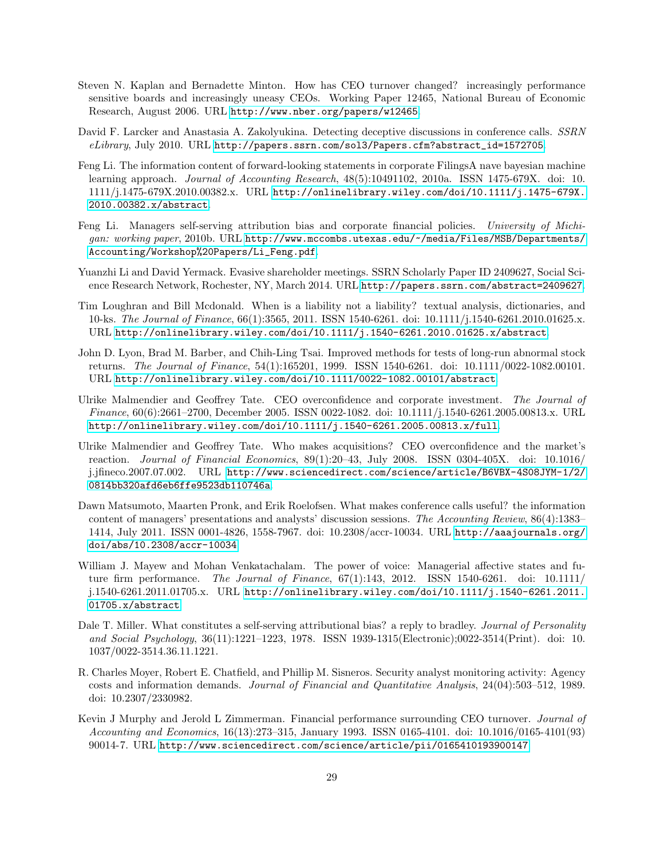- <span id="page-28-8"></span>Steven N. Kaplan and Bernadette Minton. How has CEO turnover changed? increasingly performance sensitive boards and increasingly uneasy CEOs. Working Paper 12465, National Bureau of Economic Research, August 2006. URL <http://www.nber.org/papers/w12465>.
- <span id="page-28-7"></span>David F. Larcker and Anastasia A. Zakolyukina. Detecting deceptive discussions in conference calls. SSRN eLibrary, July 2010. URL [http://papers.ssrn.com/sol3/Papers.cfm?abstract\\_id=1572705](http://papers.ssrn.com/sol3/Papers.cfm?abstract_id=1572705).
- Feng Li. The information content of forward-looking statements in corporate FilingsA nave bayesian machine learning approach. Journal of Accounting Research,  $48(5):10491102$ , 2010a. ISSN 1475-679X. doi: 10. 1111/j.1475-679X.2010.00382.x. URL [http://onlinelibrary.wiley.com/doi/10.1111/j.1475-679X.](http://onlinelibrary.wiley.com/doi/10.1111/j.1475-679X.2010.00382.x/abstract) [2010.00382.x/abstract](http://onlinelibrary.wiley.com/doi/10.1111/j.1475-679X.2010.00382.x/abstract).
- <span id="page-28-3"></span>Feng Li. Managers self-serving attribution bias and corporate financial policies. University of Michigan: working paper, 2010b. URL [http://www.mccombs.utexas.edu/~/media/Files/MSB/Departments/](http://www.mccombs.utexas.edu/~/media/Files/MSB/Departments/Accounting/Workshop%20Papers/Li_Feng.pdf) [Accounting/Workshop%20Papers/Li\\_Feng.pdf](http://www.mccombs.utexas.edu/~/media/Files/MSB/Departments/Accounting/Workshop%20Papers/Li_Feng.pdf).
- <span id="page-28-4"></span>Yuanzhi Li and David Yermack. Evasive shareholder meetings. SSRN Scholarly Paper ID 2409627, Social Science Research Network, Rochester, NY, March 2014. URL <http://papers.ssrn.com/abstract=2409627>.
- <span id="page-28-9"></span>Tim Loughran and Bill Mcdonald. When is a liability not a liability? textual analysis, dictionaries, and 10-ks. The Journal of Finance, 66(1):3565, 2011. ISSN 1540-6261. doi: 10.1111/j.1540-6261.2010.01625.x. URL <http://onlinelibrary.wiley.com/doi/10.1111/j.1540-6261.2010.01625.x/abstract>.
- <span id="page-28-11"></span>John D. Lyon, Brad M. Barber, and Chih-Ling Tsai. Improved methods for tests of long-run abnormal stock returns. The Journal of Finance, 54(1):165201, 1999. ISSN 1540-6261. doi: 10.1111/0022-1082.00101. URL <http://onlinelibrary.wiley.com/doi/10.1111/0022-1082.00101/abstract>.
- <span id="page-28-1"></span>Ulrike Malmendier and Geoffrey Tate. CEO overconfidence and corporate investment. The Journal of Finance, 60(6):2661–2700, December 2005. ISSN 0022-1082. doi: 10.1111/j.1540-6261.2005.00813.x. URL <http://onlinelibrary.wiley.com/doi/10.1111/j.1540-6261.2005.00813.x/full>.
- <span id="page-28-2"></span>Ulrike Malmendier and Geoffrey Tate. Who makes acquisitions? CEO overconfidence and the market's reaction. Journal of Financial Economics, 89(1):20–43, July 2008. ISSN 0304-405X. doi: 10.1016/ j.jfineco.2007.07.002. URL [http://www.sciencedirect.com/science/article/B6VBX-4S08JYM-1/2/](http://www.sciencedirect.com/science/article/B6VBX-4S08JYM-1/2/0814bb320afd6eb6ffe9523db110746a) [0814bb320afd6eb6ffe9523db110746a](http://www.sciencedirect.com/science/article/B6VBX-4S08JYM-1/2/0814bb320afd6eb6ffe9523db110746a).
- <span id="page-28-5"></span>Dawn Matsumoto, Maarten Pronk, and Erik Roelofsen. What makes conference calls useful? the information content of managers' presentations and analysts' discussion sessions. The Accounting Review, 86(4):1383– 1414, July 2011. ISSN 0001-4826, 1558-7967. doi: 10.2308/accr-10034. URL [http://aaajournals.org/](http://aaajournals.org/doi/abs/10.2308/accr-10034) [doi/abs/10.2308/accr-10034](http://aaajournals.org/doi/abs/10.2308/accr-10034).
- <span id="page-28-6"></span>William J. Mayew and Mohan Venkatachalam. The power of voice: Managerial affective states and future firm performance. The Journal of Finance,  $67(1)$ :143, 2012. ISSN 1540-6261. doi: 10.1111/ j.1540-6261.2011.01705.x. URL [http://onlinelibrary.wiley.com/doi/10.1111/j.1540-6261.2011.](http://onlinelibrary.wiley.com/doi/10.1111/j.1540-6261.2011.01705.x/abstract) [01705.x/abstract](http://onlinelibrary.wiley.com/doi/10.1111/j.1540-6261.2011.01705.x/abstract).
- <span id="page-28-0"></span>Dale T. Miller. What constitutes a self-serving attributional bias? a reply to bradley. Journal of Personality and Social Psychology, 36(11):1221–1223, 1978. ISSN 1939-1315(Electronic);0022-3514(Print). doi: 10. 1037/0022-3514.36.11.1221.
- <span id="page-28-10"></span>R. Charles Moyer, Robert E. Chatfield, and Phillip M. Sisneros. Security analyst monitoring activity: Agency costs and information demands. Journal of Financial and Quantitative Analysis, 24(04):503–512, 1989. doi: 10.2307/2330982.
- <span id="page-28-12"></span>Kevin J Murphy and Jerold L Zimmerman. Financial performance surrounding CEO turnover. Journal of Accounting and Economics, 16(13):273–315, January 1993. ISSN 0165-4101. doi: 10.1016/0165-4101(93) 90014-7. URL <http://www.sciencedirect.com/science/article/pii/0165410193900147>.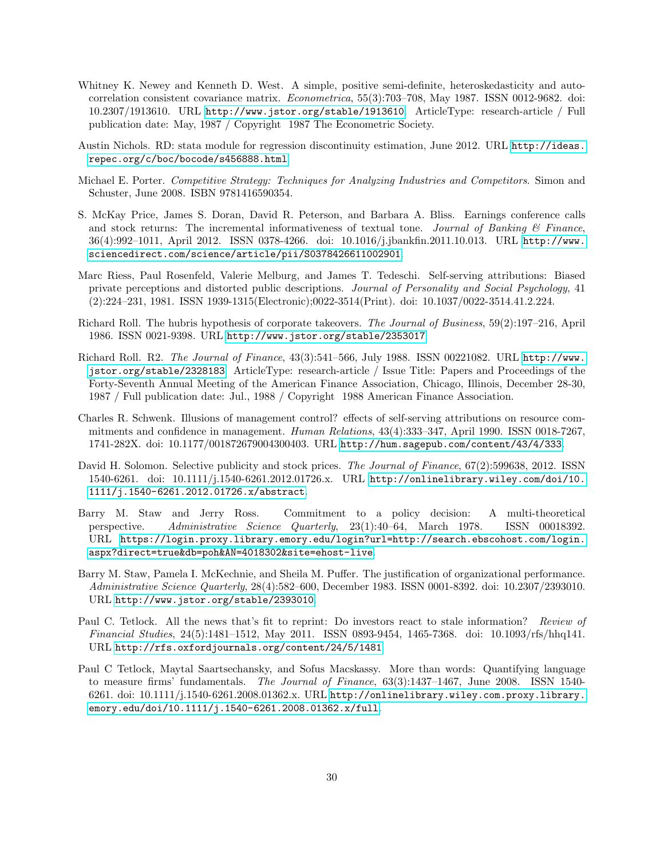- <span id="page-29-8"></span>Whitney K. Newey and Kenneth D. West. A simple, positive semi-definite, heteroskedasticity and autocorrelation consistent covariance matrix. Econometrica, 55(3):703–708, May 1987. ISSN 0012-9682. doi: 10.2307/1913610. URL <http://www.jstor.org/stable/1913610>. ArticleType: research-article / Full publication date: May, 1987 / Copyright 1987 The Econometric Society.
- Austin Nichols. RD: stata module for regression discontinuity estimation, June 2012. URL [http://ideas.](http://ideas.repec.org/c/boc/bocode/s456888.html) [repec.org/c/boc/bocode/s456888.html](http://ideas.repec.org/c/boc/bocode/s456888.html).
- Michael E. Porter. Competitive Strategy: Techniques for Analyzing Industries and Competitors. Simon and Schuster, June 2008. ISBN 9781416590354.
- <span id="page-29-9"></span>S. McKay Price, James S. Doran, David R. Peterson, and Barbara A. Bliss. Earnings conference calls and stock returns: The incremental informativeness of textual tone. Journal of Banking  $\mathcal{C}'$  Finance, 36(4):992–1011, April 2012. ISSN 0378-4266. doi: 10.1016/j.jbankfin.2011.10.013. URL [http://www.](http://www.sciencedirect.com/science/article/pii/S0378426611002901) [sciencedirect.com/science/article/pii/S0378426611002901](http://www.sciencedirect.com/science/article/pii/S0378426611002901).
- <span id="page-29-10"></span>Marc Riess, Paul Rosenfeld, Valerie Melburg, and James T. Tedeschi. Self-serving attributions: Biased private perceptions and distorted public descriptions. Journal of Personality and Social Psychology, 41 (2):224–231, 1981. ISSN 1939-1315(Electronic);0022-3514(Print). doi: 10.1037/0022-3514.41.2.224.
- <span id="page-29-2"></span>Richard Roll. The hubris hypothesis of corporate takeovers. The Journal of Business, 59(2):197–216, April 1986. ISSN 0021-9398. URL <http://www.jstor.org/stable/2353017>.
- <span id="page-29-7"></span>Richard Roll. R2. The Journal of Finance, 43(3):541–566, July 1988. ISSN 00221082. URL [http://www.](http://www.jstor.org/stable/2328183) [jstor.org/stable/2328183](http://www.jstor.org/stable/2328183). ArticleType: research-article / Issue Title: Papers and Proceedings of the Forty-Seventh Annual Meeting of the American Finance Association, Chicago, Illinois, December 28-30, 1987 / Full publication date: Jul., 1988 / Copyright 1988 American Finance Association.
- <span id="page-29-1"></span>Charles R. Schwenk. Illusions of management control? effects of self-serving attributions on resource commitments and confidence in management. Human Relations,  $43(4):333-347$ , April 1990. ISSN 0018-7267, 1741-282X. doi: 10.1177/001872679004300403. URL <http://hum.sagepub.com/content/43/4/333>.
- <span id="page-29-3"></span>David H. Solomon. Selective publicity and stock prices. The Journal of Finance, 67(2):599638, 2012. ISSN 1540-6261. doi: 10.1111/j.1540-6261.2012.01726.x. URL [http://onlinelibrary.wiley.com/doi/10.](http://onlinelibrary.wiley.com/doi/10.1111/j.1540-6261.2012.01726.x/abstract) [1111/j.1540-6261.2012.01726.x/abstract](http://onlinelibrary.wiley.com/doi/10.1111/j.1540-6261.2012.01726.x/abstract).
- <span id="page-29-0"></span>Barry M. Staw and Jerry Ross. Commitment to a policy decision: A multi-theoretical perspective. Administrative Science Quarterly, 23(1):40–64, March 1978. ISSN 00018392. URL [https://login.proxy.library.emory.edu/login?url=http://search.ebscohost.com/login.](https://login.proxy.library.emory.edu/login?url=http://search.ebscohost.com/login.aspx?direct=true&db=poh&AN=4018302&site=ehost-live) [aspx?direct=true&db=poh&AN=4018302&site=ehost-live](https://login.proxy.library.emory.edu/login?url=http://search.ebscohost.com/login.aspx?direct=true&db=poh&AN=4018302&site=ehost-live).
- <span id="page-29-6"></span>Barry M. Staw, Pamela I. McKechnie, and Sheila M. Puffer. The justification of organizational performance. Administrative Science Quarterly, 28(4):582–600, December 1983. ISSN 0001-8392. doi: 10.2307/2393010. URL <http://www.jstor.org/stable/2393010>.
- <span id="page-29-5"></span>Paul C. Tetlock. All the news that's fit to reprint: Do investors react to stale information? Review of Financial Studies, 24(5):1481–1512, May 2011. ISSN 0893-9454, 1465-7368. doi: 10.1093/rfs/hhq141. URL <http://rfs.oxfordjournals.org/content/24/5/1481>.
- <span id="page-29-4"></span>Paul C Tetlock, Maytal Saartsechansky, and Sofus Macskassy. More than words: Quantifying language to measure firms' fundamentals. The Journal of Finance,  $63(3):1437-1467$ , June 2008. ISSN 1540-6261. doi: 10.1111/j.1540-6261.2008.01362.x. URL [http://onlinelibrary.wiley.com.proxy.library.](http://onlinelibrary.wiley.com.proxy.library.emory.edu/doi/10.1111/j.1540-6261.2008.01362.x/full) [emory.edu/doi/10.1111/j.1540-6261.2008.01362.x/full](http://onlinelibrary.wiley.com.proxy.library.emory.edu/doi/10.1111/j.1540-6261.2008.01362.x/full).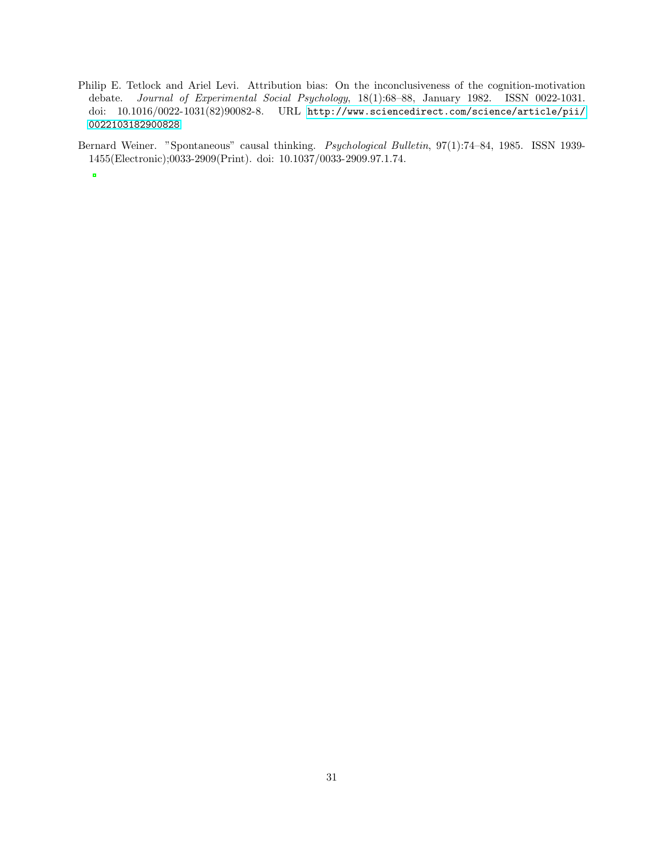<span id="page-30-0"></span>Philip E. Tetlock and Ariel Levi. Attribution bias: On the inconclusiveness of the cognition-motivation debate. Journal of Experimental Social Psychology, 18(1):68–88, January 1982. ISSN 0022-1031. doi: 10.1016/0022-1031(82)90082-8. URL [http://www.sciencedirect.com/science/article/pii/](http://www.sciencedirect.com/science/article/pii/0022103182900828) [0022103182900828](http://www.sciencedirect.com/science/article/pii/0022103182900828).

Bernard Weiner. "Spontaneous" causal thinking. Psychological Bulletin, 97(1):74–84, 1985. ISSN 1939- 1455(Electronic);0033-2909(Print). doi: 10.1037/0033-2909.97.1.74.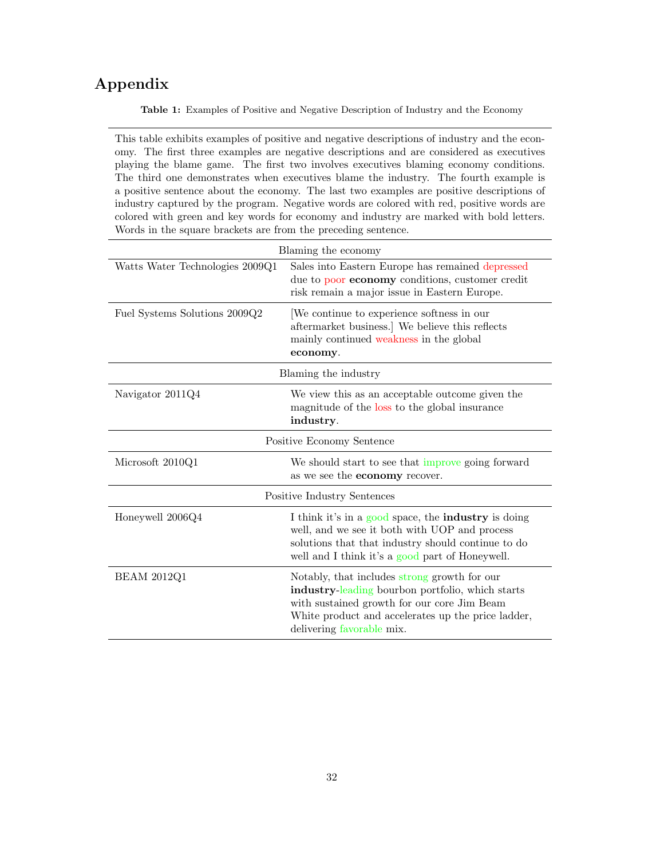# <span id="page-31-0"></span>Appendix

Table 1: Examples of Positive and Negative Description of Industry and the Economy

This table exhibits examples of positive and negative descriptions of industry and the economy. The first three examples are negative descriptions and are considered as executives playing the blame game. The first two involves executives blaming economy conditions. The third one demonstrates when executives blame the industry. The fourth example is a positive sentence about the economy. The last two examples are positive descriptions of industry captured by the program. Negative words are colored with red, positive words are colored with green and key words for economy and industry are marked with bold letters. Words in the square brackets are from the preceding sentence.

|                                 | Blaming the economy                                                                                                                                                                                                                |
|---------------------------------|------------------------------------------------------------------------------------------------------------------------------------------------------------------------------------------------------------------------------------|
| Watts Water Technologies 2009Q1 | Sales into Eastern Europe has remained depressed<br>due to poor <b>economy</b> conditions, customer credit<br>risk remain a major issue in Eastern Europe.                                                                         |
| Fuel Systems Solutions 2009Q2   | We continue to experience softness in our<br>aftermarket business.] We believe this reflects<br>mainly continued weakness in the global<br>economy.                                                                                |
|                                 | Blaming the industry                                                                                                                                                                                                               |
| Navigator 2011Q4                | We view this as an acceptable outcome given the<br>magnitude of the loss to the global insurance<br>industry.                                                                                                                      |
|                                 | Positive Economy Sentence                                                                                                                                                                                                          |
| Microsoft 2010Q1                | We should start to see that improve going forward<br>as we see the <b>economy</b> recover.                                                                                                                                         |
|                                 | Positive Industry Sentences                                                                                                                                                                                                        |
| Honeywell 2006Q4                | I think it's in a good space, the <b>industry</b> is doing<br>well, and we see it both with UOP and process<br>solutions that that industry should continue to do<br>well and I think it's a good part of Honeywell.               |
| <b>BEAM 2012Q1</b>              | Notably, that includes strong growth for our<br>industry-leading bourbon portfolio, which starts<br>with sustained growth for our core Jim Beam<br>White product and accelerates up the price ladder,<br>delivering favorable mix. |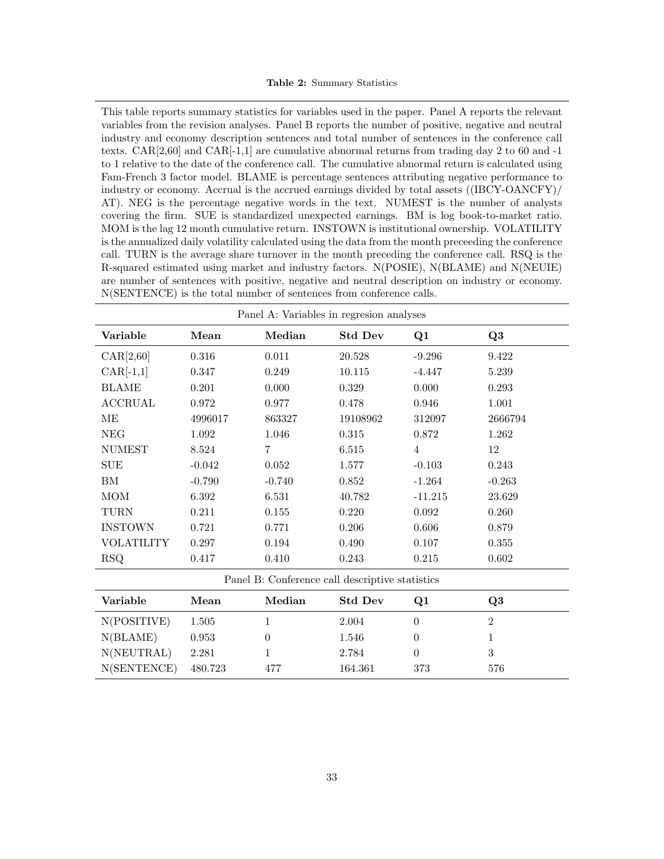#### Table 2: Summary Statistics

<span id="page-32-0"></span>This table reports summary statistics for variables used in the paper. Panel A reports the relevant variables from the revision analyses. Panel B reports the number of positive, negative and neutral industry and economy description sentences and total number of sentences in the conference call texts. CAR[2,60] and CAR[-1,1] are cumulative abnormal returns from trading day 2 to 60 and -1 to 1 relative to the date of the conference call. The cumulative abnormal return is calculated using Fam-French 3 factor model. BLAME is percentage sentences attributing negative performance to industry or economy. Accrual is the accrued earnings divided by total assets ((IBCY-OANCFY)/ AT). NEG is the percentage negative words in the text. NUMEST is the number of analysts covering the firm. SUE is standardized unexpected earnings. BM is log book-to-market ratio. MOM is the lag 12 month cumulative return. INSTOWN is institutional ownership. VOLATILITY is the annualized daily volatility calculated using the data from the month preceeding the conference call. TURN is the average share turnover in the month preceding the conference call. RSQ is the R-squared estimated using market and industry factors. N(POSIE), N(BLAME) and N(NEUIE) are number of sentences with positive, negative and neutral description on industry or economy. N(SENTENCE) is the total number of sentences from conference calls.

| Panel A: Variables in regresion analyses        |          |          |                |                |          |
|-------------------------------------------------|----------|----------|----------------|----------------|----------|
| Variable                                        | Mean     | Median   | <b>Std Dev</b> | Q1             | Q3       |
| CAR[2,60]                                       | 0.316    | 0.011    | 20.528         | $-9.296$       | 9.422    |
| $CAR[-1,1]$                                     | 0.347    | 0.249    | 10.115         | $-4.447$       | 5.239    |
| <b>BLAME</b>                                    | 0.201    | 0.000    | 0.329          | 0.000          | 0.293    |
| ACCRUAL                                         | 0.972    | 0.977    | 0.478          | 0.946          | 1.001    |
| MЕ                                              | 4996017  | 863327   | 19108962       | 312097         | 2666794  |
| NEG                                             | 1.092    | 1.046    | 0.315          | 0.872          | 1.262    |
| <b>NUMEST</b>                                   | 8.524    | 7        | 6.515          | $\overline{4}$ | 12       |
| SUE                                             | $-0.042$ | 0.052    | 1.577          | $-0.103$       | 0.243    |
| ΒM                                              | $-0.790$ | $-0.740$ | 0.852          | $-1.264$       | $-0.263$ |
| <b>MOM</b>                                      | 6.392    | 6.531    | 40.782         | $-11.215$      | 23.629   |
| TURN                                            | 0.211    | 0.155    | 0.220          | 0.092          | 0.260    |
| <b>INSTOWN</b>                                  | 0.721    | 0.771    | 0.206          | 0.606          | 0.879    |
| <b>VOLATILITY</b>                               | 0.297    | 0.194    | 0.490          | 0.107          | 0.355    |
| RSQ                                             | 0.417    | 0.410    | 0.243          | 0.215          | 0.602    |
| Panel B: Conference call descriptive statistics |          |          |                |                |          |
| Variable                                        | Mean     | Median   | <b>Std Dev</b> | O1             | $\Omega$ |

| Variable    | Mean    | Median | <b>Std Dev</b> | O1  | O3  |
|-------------|---------|--------|----------------|-----|-----|
| N(POSITIVE) | 1.505   |        | 2.004          |     |     |
| N(BLAME)    | 0.953   |        | 1.546          |     |     |
| N(NEUTRAL)  | 2.281   |        | 2.784          |     |     |
| N(SENTENCE) | 480.723 | 477    | 164.361        | 373 | 576 |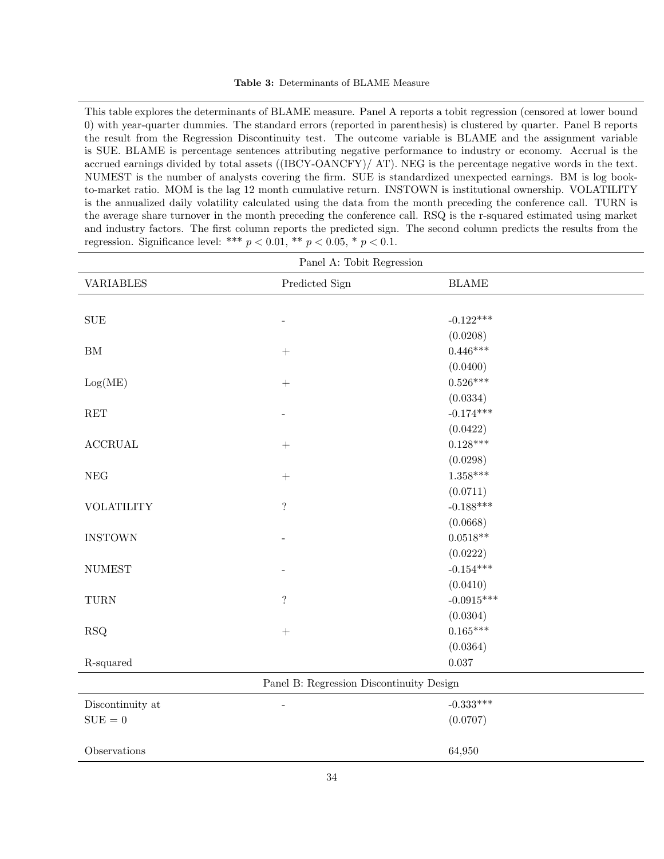<span id="page-33-0"></span>This table explores the determinants of BLAME measure. Panel A reports a tobit regression (censored at lower bound 0) with year-quarter dummies. The standard errors (reported in parenthesis) is clustered by quarter. Panel B reports the result from the Regression Discontinuity test. The outcome variable is BLAME and the assignment variable is SUE. BLAME is percentage sentences attributing negative performance to industry or economy. Accrual is the accrued earnings divided by total assets ((IBCY-OANCFY)/ AT). NEG is the percentage negative words in the text. NUMEST is the number of analysts covering the firm. SUE is standardized unexpected earnings. BM is log bookto-market ratio. MOM is the lag 12 month cumulative return. INSTOWN is institutional ownership. VOLATILITY is the annualized daily volatility calculated using the data from the month preceding the conference call. TURN is the average share turnover in the month preceding the conference call. RSQ is the r-squared estimated using market and industry factors. The first column reports the predicted sign. The second column predicts the results from the regression. Significance level: \*\*\*  $p < 0.01$ , \*\*  $p < 0.05$ , \*  $p < 0.1$ .

| Panel A: Tobit Regression |                                          |              |  |  |
|---------------------------|------------------------------------------|--------------|--|--|
| <b>VARIABLES</b>          | Predicted Sign                           | <b>BLAME</b> |  |  |
|                           |                                          |              |  |  |
| <b>SUE</b>                | $\overline{a}$                           | $-0.122***$  |  |  |
|                           |                                          | (0.0208)     |  |  |
| BM                        | $\boldsymbol{+}$                         | $0.446***$   |  |  |
|                           |                                          | (0.0400)     |  |  |
| Log(ME)                   | $\boldsymbol{+}$                         | $0.526***$   |  |  |
|                           |                                          | (0.0334)     |  |  |
| RET                       |                                          | $-0.174***$  |  |  |
|                           |                                          | (0.0422)     |  |  |
| $\operatorname{ACCRUAL}$  | $\! + \!$                                | $0.128***$   |  |  |
|                           |                                          | (0.0298)     |  |  |
| NEG                       | $\! + \!$                                | $1.358***$   |  |  |
|                           |                                          | (0.0711)     |  |  |
| <b>VOLATILITY</b>         | $\overline{\mathcal{L}}$                 | $-0.188***$  |  |  |
|                           |                                          | (0.0668)     |  |  |
| <b>INSTOWN</b>            |                                          | $0.0518**$   |  |  |
|                           |                                          | (0.0222)     |  |  |
| <b>NUMEST</b>             |                                          | $-0.154***$  |  |  |
|                           |                                          | (0.0410)     |  |  |
| TURN                      | $\ddot{?}$                               | $-0.0915***$ |  |  |
|                           |                                          | (0.0304)     |  |  |
| RSQ                       | $\! + \!$                                | $0.165***$   |  |  |
|                           |                                          | (0.0364)     |  |  |
| R-squared                 |                                          | $0.037\,$    |  |  |
|                           | Panel B: Regression Discontinuity Design |              |  |  |
| Discontinuity at          | $\overline{\phantom{m}}$                 | $-0.333***$  |  |  |
| $\mathrm{SUE}=0$          |                                          | (0.0707)     |  |  |
|                           |                                          |              |  |  |
| Observations              |                                          | 64,950       |  |  |
|                           |                                          |              |  |  |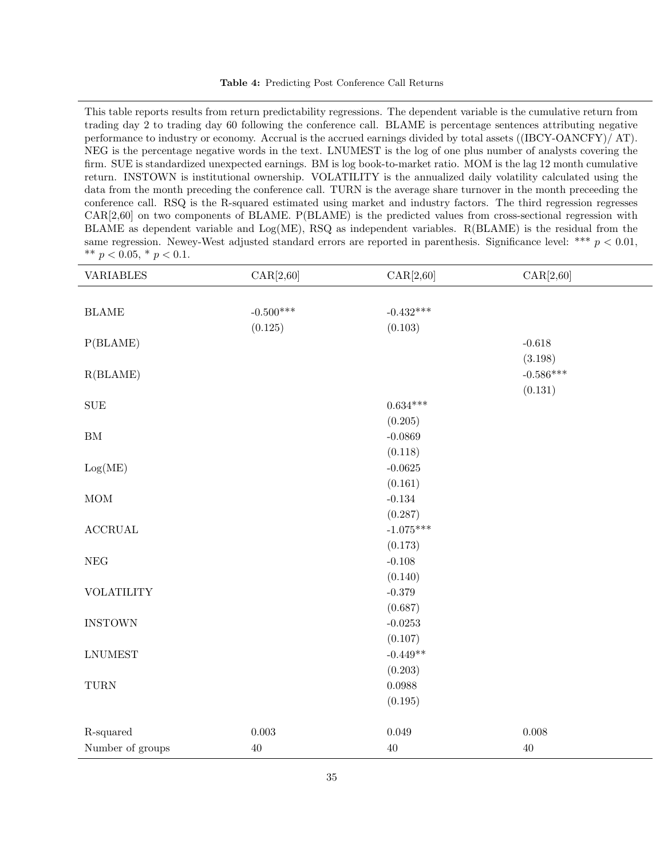<span id="page-34-0"></span>This table reports results from return predictability regressions. The dependent variable is the cumulative return from trading day 2 to trading day 60 following the conference call. BLAME is percentage sentences attributing negative performance to industry or economy. Accrual is the accrued earnings divided by total assets ((IBCY-OANCFY)/ AT). NEG is the percentage negative words in the text. LNUMEST is the log of one plus number of analysts covering the firm. SUE is standardized unexpected earnings. BM is log book-to-market ratio. MOM is the lag 12 month cumulative return. INSTOWN is institutional ownership. VOLATILITY is the annualized daily volatility calculated using the data from the month preceding the conference call. TURN is the average share turnover in the month preceeding the conference call. RSQ is the R-squared estimated using market and industry factors. The third regression regresses CAR[2,60] on two components of BLAME. P(BLAME) is the predicted values from cross-sectional regression with BLAME as dependent variable and  $Log(ME)$ , RSQ as independent variables. R(BLAME) is the residual from the same regression. Newey-West adjusted standard errors are reported in parenthesis. Significance level: \*\*\*  $p < 0.01$ , \*\*  $p < 0.05$ , \*  $p < 0.1$ .

| <b>VARIABLES</b>         | CAR[2,60]   | CAR[2,60]   | CAR[2,60]   |
|--------------------------|-------------|-------------|-------------|
|                          |             |             |             |
| $\operatorname{BLAME}$   | $-0.500***$ | $-0.432***$ |             |
|                          | (0.125)     | (0.103)     |             |
| P(BLAME)                 |             |             | $-0.618$    |
|                          |             |             | (3.198)     |
| R(BLAME)                 |             |             | $-0.586***$ |
|                          |             |             | (0.131)     |
| ${\rm SUE}$              |             | $0.634***$  |             |
|                          |             | (0.205)     |             |
| ${\rm BM}$               |             | $-0.0869$   |             |
|                          |             | (0.118)     |             |
| Log(ME)                  |             | $-0.0625$   |             |
|                          |             | (0.161)     |             |
| $\rm{MOM}$               |             | $-0.134$    |             |
|                          |             | (0.287)     |             |
| $\operatorname{ACCRUAL}$ |             | $-1.075***$ |             |
|                          |             | (0.173)     |             |
| $\rm{NEG}$               |             | $-0.108$    |             |
|                          |             | (0.140)     |             |
| <b>VOLATILITY</b>        |             | $-0.379$    |             |
|                          |             | (0.687)     |             |
| <b>INSTOWN</b>           |             | $-0.0253$   |             |
|                          |             | (0.107)     |             |
| <b>LNUMEST</b>           |             | $-0.449**$  |             |
|                          |             | (0.203)     |             |
| ${\rm TURN}$             |             | 0.0988      |             |
|                          |             | (0.195)     |             |
|                          |             |             |             |
| R-squared                | $0.003\,$   | $\,0.049\,$ | 0.008       |
| Number of groups         | $40\,$      | $40\,$      | $40\,$      |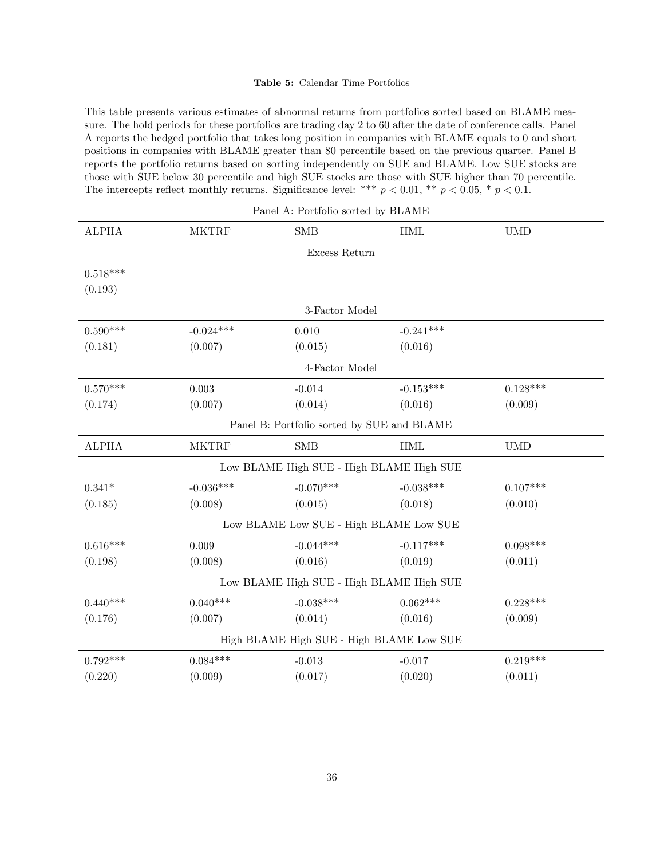#### Table 5: Calendar Time Portfolios

<span id="page-35-0"></span>This table presents various estimates of abnormal returns from portfolios sorted based on BLAME measure. The hold periods for these portfolios are trading day 2 to 60 after the date of conference calls. Panel A reports the hedged portfolio that takes long position in companies with BLAME equals to 0 and short positions in companies with BLAME greater than 80 percentile based on the previous quarter. Panel B reports the portfolio returns based on sorting independently on SUE and BLAME. Low SUE stocks are those with SUE below 30 percentile and high SUE stocks are those with SUE higher than 70 percentile. The intercepts reflect monthly returns. Significance level: \*\*\*  $p < 0.01$ , \*\*  $p < 0.05$ , \*  $p < 0.1$ .

| Panel A: Portfolio sorted by BLAME |                                          |                                            |             |            |  |
|------------------------------------|------------------------------------------|--------------------------------------------|-------------|------------|--|
| <b>ALPHA</b>                       | <b>MKTRF</b>                             | <b>SMB</b>                                 | <b>HML</b>  | <b>UMD</b> |  |
|                                    |                                          | Excess Return                              |             |            |  |
| $0.518***$                         |                                          |                                            |             |            |  |
| (0.193)                            |                                          |                                            |             |            |  |
|                                    |                                          | 3-Factor Model                             |             |            |  |
| $0.590***$                         | $-0.024***$                              | 0.010                                      | $-0.241***$ |            |  |
| (0.181)                            | (0.007)                                  | (0.015)                                    | (0.016)     |            |  |
|                                    |                                          | 4-Factor Model                             |             |            |  |
| $0.570***$                         | 0.003                                    | $-0.014$                                   | $-0.153***$ | $0.128***$ |  |
| (0.174)                            | (0.007)                                  | (0.014)                                    | (0.016)     | (0.009)    |  |
|                                    |                                          | Panel B: Portfolio sorted by SUE and BLAME |             |            |  |
| <b>ALPHA</b>                       | <b>MKTRF</b>                             | <b>SMB</b>                                 | <b>HML</b>  | <b>UMD</b> |  |
|                                    |                                          | Low BLAME High SUE - High BLAME High SUE   |             |            |  |
| $0.341*$                           | $-0.036***$                              | $-0.070***$                                | $-0.038***$ | $0.107***$ |  |
| (0.185)                            | (0.008)                                  | (0.015)                                    | (0.018)     | (0.010)    |  |
|                                    |                                          | Low BLAME Low SUE - High BLAME Low SUE     |             |            |  |
| $0.616***$                         | 0.009                                    | $-0.044***$                                | $-0.117***$ | $0.098***$ |  |
| (0.198)                            | (0.008)                                  | (0.016)                                    | (0.019)     | (0.011)    |  |
|                                    |                                          | Low BLAME High SUE - High BLAME High SUE   |             |            |  |
| $0.440***$                         | $0.040***$                               | $-0.038***$                                | $0.062***$  | $0.228***$ |  |
| (0.176)                            | (0.007)                                  | (0.014)                                    | (0.016)     | (0.009)    |  |
|                                    | High BLAME High SUE - High BLAME Low SUE |                                            |             |            |  |
| $0.792***$                         | $0.084***$                               | $-0.013$                                   | $-0.017$    | $0.219***$ |  |
| (0.220)                            | (0.009)                                  | (0.017)                                    | (0.020)     | (0.011)    |  |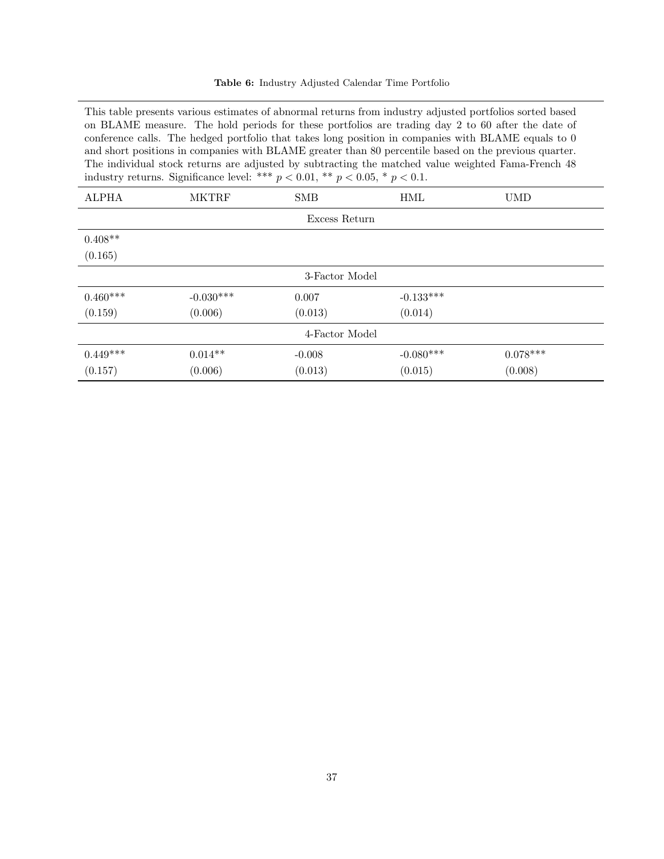| Table 6: Industry Adjusted Calendar Time Portfolio |  |
|----------------------------------------------------|--|
|----------------------------------------------------|--|

<span id="page-36-0"></span>This table presents various estimates of abnormal returns from industry adjusted portfolios sorted based on BLAME measure. The hold periods for these portfolios are trading day 2 to 60 after the date of conference calls. The hedged portfolio that takes long position in companies with BLAME equals to 0 and short positions in companies with BLAME greater than 80 percentile based on the previous quarter. The individual stock returns are adjusted by subtracting the matched value weighted Fama-French 48 industry returns. Significance level: \*\*\*  $p < 0.01$ , \*\*  $p < 0.05$ , \*  $p < 0.1$ .

| <b>ALPHA</b>   | <b>MKTRF</b> | <b>SMB</b>     | HML         | <b>UMD</b> |  |
|----------------|--------------|----------------|-------------|------------|--|
|                |              | Excess Return  |             |            |  |
| $0.408**$      |              |                |             |            |  |
| (0.165)        |              |                |             |            |  |
|                |              | 3-Factor Model |             |            |  |
| $0.460***$     | $-0.030***$  | 0.007          | $-0.133***$ |            |  |
| (0.159)        | (0.006)      | (0.013)        | (0.014)     |            |  |
| 4-Factor Model |              |                |             |            |  |
| $0.449***$     | $0.014**$    | $-0.008$       | $-0.080***$ | $0.078***$ |  |
| (0.157)        | (0.006)      | (0.013)        | (0.015)     | (0.008)    |  |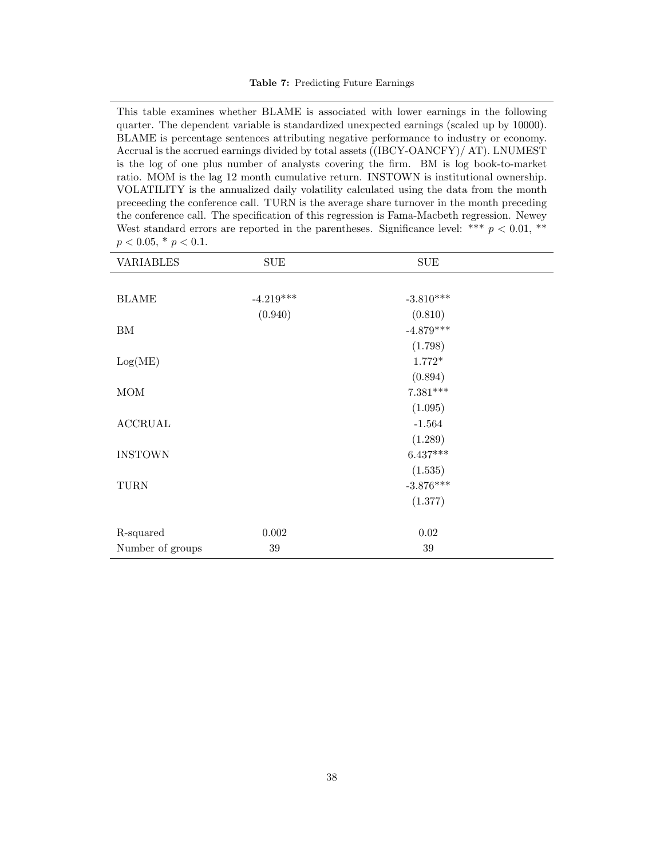#### Table 7: Predicting Future Earnings

<span id="page-37-0"></span>This table examines whether BLAME is associated with lower earnings in the following quarter. The dependent variable is standardized unexpected earnings (scaled up by 10000). BLAME is percentage sentences attributing negative performance to industry or economy. Accrual is the accrued earnings divided by total assets ((IBCY-OANCFY)/ AT). LNUMEST is the log of one plus number of analysts covering the firm. BM is log book-to-market ratio. MOM is the lag 12 month cumulative return. INSTOWN is institutional ownership. VOLATILITY is the annualized daily volatility calculated using the data from the month preceeding the conference call. TURN is the average share turnover in the month preceding the conference call. The specification of this regression is Fama-Macbeth regression. Newey West standard errors are reported in the parentheses. Significance level: \*\*\*  $p < 0.01$ , \*\*  $p < 0.05, * p < 0.1.$ 

| <b>VARIABLES</b> | <b>SUE</b>  | $\operatorname{SUE}$ |  |
|------------------|-------------|----------------------|--|
|                  |             |                      |  |
| <b>BLAME</b>     | $-4.219***$ | $-3.810***$          |  |
|                  | (0.940)     | (0.810)              |  |
| ΒM               |             | $-4.879***$          |  |
|                  |             | (1.798)              |  |
| Log(ME)          |             | $1.772*$             |  |
|                  |             | (0.894)              |  |
| MOM              |             | $7.381***$           |  |
|                  |             | (1.095)              |  |
| <b>ACCRUAL</b>   |             | $-1.564$             |  |
|                  |             | (1.289)              |  |
| <b>INSTOWN</b>   |             | $6.437***$           |  |
|                  |             | (1.535)              |  |
| <b>TURN</b>      |             | $-3.876***$          |  |
|                  |             | (1.377)              |  |
|                  |             |                      |  |
| R-squared        | $0.002\,$   | $\rm 0.02$           |  |
| Number of groups | $39\,$      | $39\,$               |  |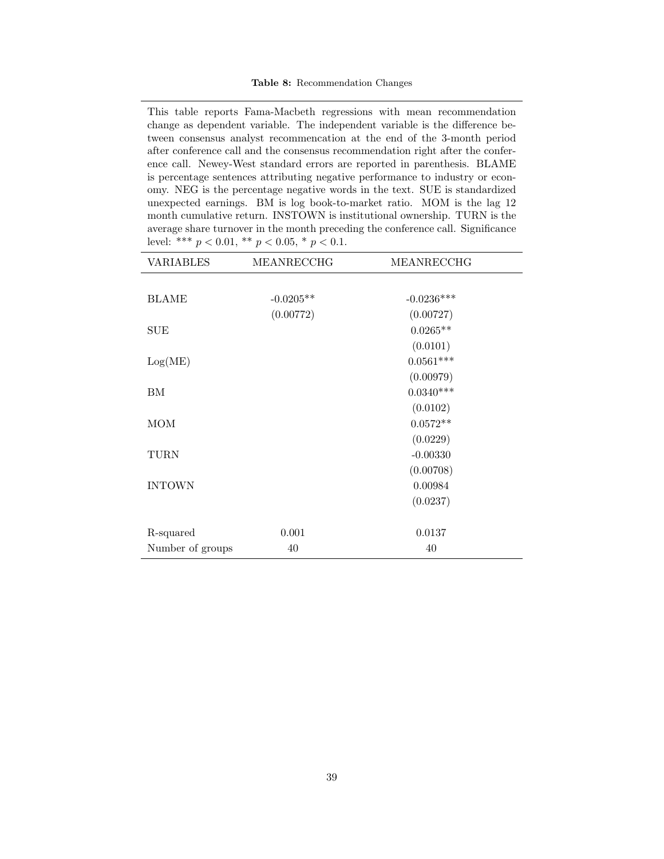<span id="page-38-0"></span>This table reports Fama-Macbeth regressions with mean recommendation change as dependent variable. The independent variable is the difference between consensus analyst recommencation at the end of the 3-month period after conference call and the consensus recommendation right after the conference call. Newey-West standard errors are reported in parenthesis. BLAME is percentage sentences attributing negative performance to industry or economy. NEG is the percentage negative words in the text. SUE is standardized unexpected earnings. BM is log book-to-market ratio. MOM is the lag 12 month cumulative return. INSTOWN is institutional ownership. TURN is the average share turnover in the month preceding the conference call. Significance level: \*\*\*  $p < 0.01$ , \*\*  $p < 0.05$ , \*  $p < 0.1$ .

| <b>VARIABLES</b> | MEANRECCHG  | MEANRECCHG   |  |
|------------------|-------------|--------------|--|
|                  |             |              |  |
| <b>BLAME</b>     | $-0.0205**$ | $-0.0236***$ |  |
|                  | (0.00772)   | (0.00727)    |  |
| <b>SUE</b>       |             | $0.0265**$   |  |
|                  |             | (0.0101)     |  |
| Log(ME)          |             | $0.0561***$  |  |
|                  |             | (0.00979)    |  |
| BM               |             | $0.0340***$  |  |
|                  |             | (0.0102)     |  |
| <b>MOM</b>       |             | $0.0572**$   |  |
|                  |             | (0.0229)     |  |
| TURN             |             | $-0.00330$   |  |
|                  |             | (0.00708)    |  |
| <b>INTOWN</b>    |             | 0.00984      |  |
|                  |             | (0.0237)     |  |
|                  |             |              |  |
| R-squared        | 0.001       | 0.0137       |  |
| Number of groups | 40          | 40           |  |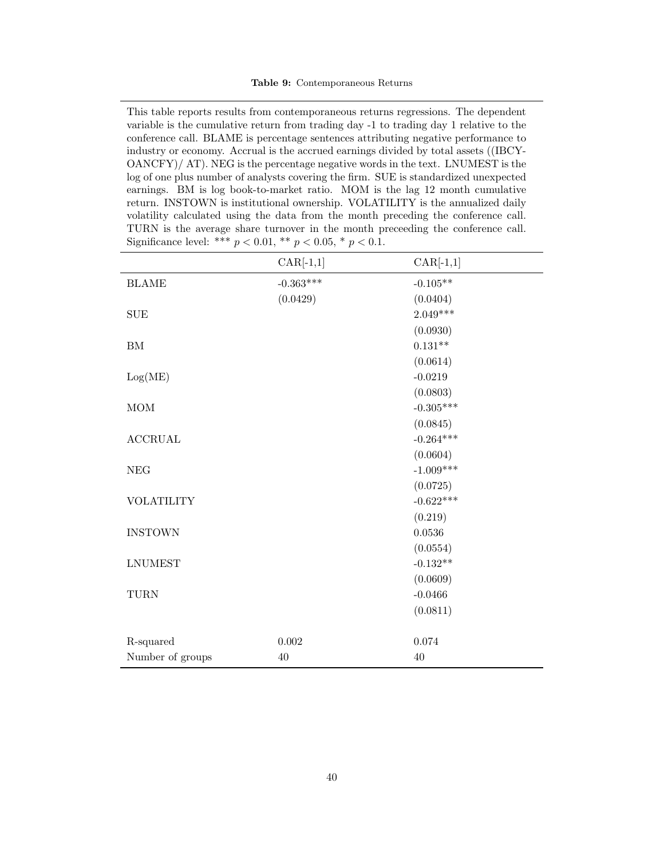This table reports results from contemporaneous returns regressions. The dependent variable is the cumulative return from trading day -1 to trading day 1 relative to the conference call. BLAME is percentage sentences attributing negative performance to industry or economy. Accrual is the accrued earnings divided by total assets ((IBCY-OANCFY)/ AT). NEG is the percentage negative words in the text. LNUMEST is the log of one plus number of analysts covering the firm. SUE is standardized unexpected earnings. BM is log book-to-market ratio. MOM is the lag 12 month cumulative return. INSTOWN is institutional ownership. VOLATILITY is the annualized daily volatility calculated using the data from the month preceding the conference call. TURN is the average share turnover in the month preceeding the conference call. Significance level: \*\*\*  $p < 0.01$ , \*\*  $p < 0.05$ , \*  $p < 0.1$ .

|                          | $CAR[-1,1]$ | $CAR[-1,1]$ |
|--------------------------|-------------|-------------|
| <b>BLAME</b>             | $-0.363***$ | $-0.105**$  |
|                          | (0.0429)    | (0.0404)    |
| <b>SUE</b>               |             | $2.049***$  |
|                          |             | (0.0930)    |
| ${\rm BM}$               |             | $0.131**$   |
|                          |             | (0.0614)    |
| Log(ME)                  |             | $-0.0219$   |
|                          |             | (0.0803)    |
| $\rm{MOM}$               |             | $-0.305***$ |
|                          |             | (0.0845)    |
| $\operatorname{ACCRUAL}$ |             | $-0.264***$ |
|                          |             | (0.0604)    |
| <b>NEG</b>               |             | $-1.009***$ |
|                          |             | (0.0725)    |
| <b>VOLATILITY</b>        |             | $-0.622***$ |
|                          |             | (0.219)     |
| <b>INSTOWN</b>           |             | 0.0536      |
|                          |             | (0.0554)    |
| <b>LNUMEST</b>           |             | $-0.132**$  |
|                          |             | (0.0609)    |
| <b>TURN</b>              |             | $-0.0466$   |
|                          |             | (0.0811)    |
|                          |             |             |
| R-squared                | 0.002       | 0.074       |
| Number of groups         | 40          | 40          |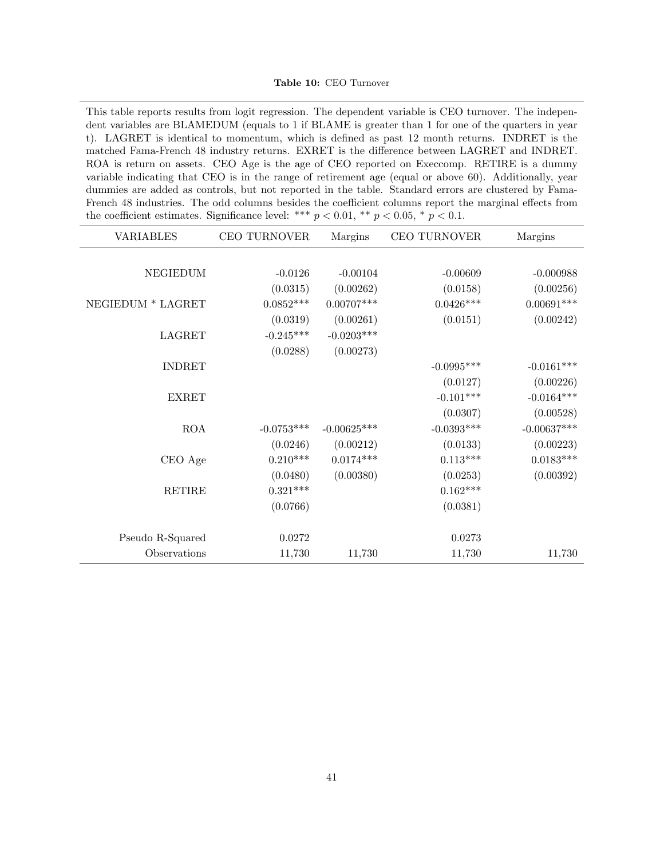Table 10: CEO Turnover

This table reports results from logit regression. The dependent variable is CEO turnover. The independent variables are BLAMEDUM (equals to 1 if BLAME is greater than 1 for one of the quarters in year t). LAGRET is identical to momentum, which is defined as past 12 month returns. INDRET is the matched Fama-French 48 industry returns. EXRET is the difference between LAGRET and INDRET. ROA is return on assets. CEO Age is the age of CEO reported on Execcomp. RETIRE is a dummy variable indicating that CEO is in the range of retirement age (equal or above 60). Additionally, year dummies are added as controls, but not reported in the table. Standard errors are clustered by Fama-French 48 industries. The odd columns besides the coefficient columns report the marginal effects from the coefficient estimates. Significance level: \*\*\*  $p < 0.01$ , \*\*  $p < 0.05$ , \*  $p < 0.1$ .

| <b>VARIABLES</b>  | CEO TURNOVER | Margins       | CEO TURNOVER | Margins           |
|-------------------|--------------|---------------|--------------|-------------------|
|                   |              |               |              |                   |
| NEGIEDUM          | $-0.0126$    | $-0.00104$    | $-0.00609$   | $-0.000988$       |
|                   | (0.0315)     | (0.00262)     | (0.0158)     | (0.00256)         |
| NEGIEDUM * LAGRET | $0.0852***$  | $0.00707***$  | $0.0426***$  | $0.00691^{***}\;$ |
|                   | (0.0319)     | (0.00261)     | (0.0151)     | (0.00242)         |
| <b>LAGRET</b>     | $-0.245***$  | $-0.0203***$  |              |                   |
|                   | (0.0288)     | (0.00273)     |              |                   |
| <b>INDRET</b>     |              |               | $-0.0995***$ | $-0.0161***$      |
|                   |              |               | (0.0127)     | (0.00226)         |
| <b>EXRET</b>      |              |               | $-0.101***$  | $-0.0164***$      |
|                   |              |               | (0.0307)     | (0.00528)         |
| ROA               | $-0.0753***$ | $-0.00625***$ | $-0.0393***$ | $-0.00637***$     |
|                   | (0.0246)     | (0.00212)     | (0.0133)     | (0.00223)         |
| CEO Age           | $0.210***$   | $0.0174***$   | $0.113***$   | $0.0183***$       |
|                   | (0.0480)     | (0.00380)     | (0.0253)     | (0.00392)         |
| <b>RETIRE</b>     | $0.321***$   |               | $0.162***$   |                   |
|                   | (0.0766)     |               | (0.0381)     |                   |
|                   |              |               |              |                   |
| Pseudo R-Squared  | 0.0272       |               | 0.0273       |                   |
| Observations      | 11,730       | 11,730        | 11,730       | 11,730            |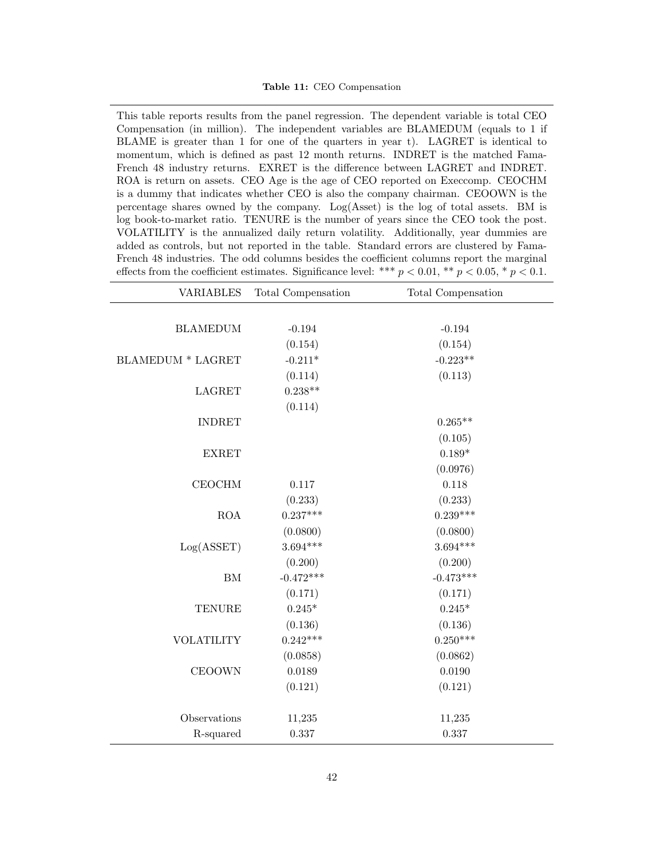<span id="page-41-0"></span>This table reports results from the panel regression. The dependent variable is total CEO Compensation (in million). The independent variables are BLAMEDUM (equals to 1 if BLAME is greater than 1 for one of the quarters in year t). LAGRET is identical to momentum, which is defined as past 12 month returns. INDRET is the matched Fama-French 48 industry returns. EXRET is the difference between LAGRET and INDRET. ROA is return on assets. CEO Age is the age of CEO reported on Execcomp. CEOCHM is a dummy that indicates whether CEO is also the company chairman. CEOOWN is the percentage shares owned by the company. Log(Asset) is the log of total assets. BM is log book-to-market ratio. TENURE is the number of years since the CEO took the post. VOLATILITY is the annualized daily return volatility. Additionally, year dummies are added as controls, but not reported in the table. Standard errors are clustered by Fama-French 48 industries. The odd columns besides the coefficient columns report the marginal effects from the coefficient estimates. Significance level: \*\*\*  $p < 0.01$ , \*\*  $p < 0.05$ , \*  $p < 0.1$ .

| <b>VARIABLES</b>         | Total Compensation | Total Compensation |
|--------------------------|--------------------|--------------------|
|                          |                    |                    |
| <b>BLAMEDUM</b>          | $-0.194$           | $-0.194$           |
|                          | (0.154)            | (0.154)            |
| <b>BLAMEDUM * LAGRET</b> | $-0.211*$          | $-0.223**$         |
|                          | (0.114)            | (0.113)            |
| <b>LAGRET</b>            | $0.238**$          |                    |
|                          | (0.114)            |                    |
| <b>INDRET</b>            |                    | $0.265**$          |
|                          |                    | (0.105)            |
| <b>EXRET</b>             |                    | $0.189*$           |
|                          |                    | (0.0976)           |
| <b>CEOCHM</b>            | 0.117              | 0.118              |
|                          | (0.233)            | (0.233)            |
| $\rm{ROA}$               | $0.237***$         | $0.239***$         |
|                          | (0.0800)           | (0.0800)           |
| Log(ASSET)               | $3.694***$         | $3.694***$         |
|                          | (0.200)            | (0.200)            |
| ${\rm BM}$               | $-0.472***$        | $-0.473***$        |
|                          | (0.171)            | (0.171)            |
| <b>TENURE</b>            | $0.245^{\ast}$     | $0.245*$           |
|                          | (0.136)            | (0.136)            |
| <b>VOLATILITY</b>        | $0.242***$         | $0.250***$         |
|                          | (0.0858)           | (0.0862)           |
| <b>CEOOWN</b>            | 0.0189             | 0.0190             |
|                          | (0.121)            | (0.121)            |
| Observations             | 11,235             | 11,235             |
| R-squared                | $0.337\,$          | 0.337              |